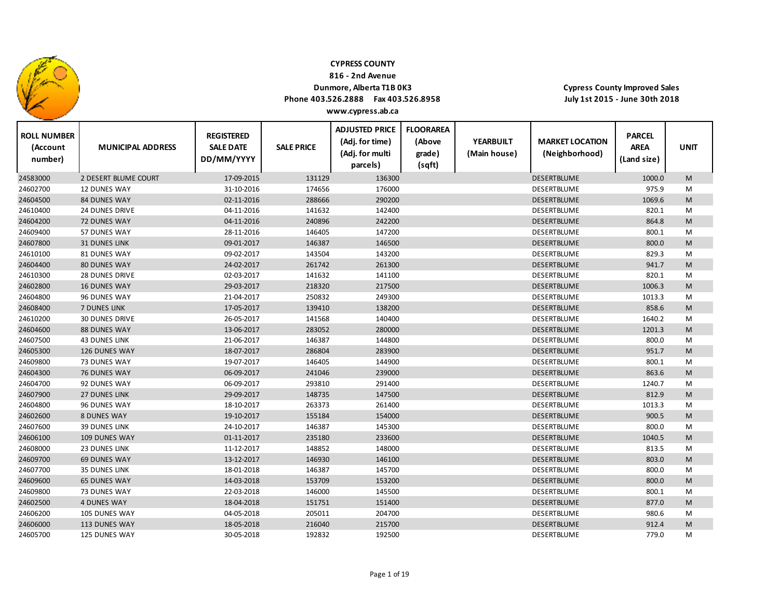

**816 ‐ 2nd Avenue**

### **Dunmore, Alberta T1B 0K3**

**Phone 403.526.2888 Fax 403.526.8958**

**Cypress County Improved Sales July 1st 2015 ‐ June 30th 2018**

| <b>ROLL NUMBER</b><br>(Account<br>number) | <b>MUNICIPAL ADDRESS</b> | <b>REGISTERED</b><br><b>SALE DATE</b><br>DD/MM/YYYY | <b>SALE PRICE</b> | <b>ADJUSTED PRICE</b><br>(Adj. for time)<br>(Adj. for multi<br>parcels) | <b>FLOORAREA</b><br>(Above<br>grade)<br>(sqft) | <b>YEARBUILT</b><br>(Main house) | <b>MARKET LOCATION</b><br>(Neighborhood) | <b>PARCEL</b><br><b>AREA</b><br>(Land size) | <b>UNIT</b> |
|-------------------------------------------|--------------------------|-----------------------------------------------------|-------------------|-------------------------------------------------------------------------|------------------------------------------------|----------------------------------|------------------------------------------|---------------------------------------------|-------------|
| 24583000                                  | 2 DESERT BLUME COURT     | 17-09-2015                                          | 131129            | 136300                                                                  |                                                |                                  | <b>DESERTBLUME</b>                       | 1000.0                                      | M           |
| 24602700                                  | <b>12 DUNES WAY</b>      | 31-10-2016                                          | 174656            | 176000                                                                  |                                                |                                  | DESERTBLUME                              | 975.9                                       | M           |
| 24604500                                  | 84 DUNES WAY             | 02-11-2016                                          | 288666            | 290200                                                                  |                                                |                                  | DESERTBLUME                              | 1069.6                                      | ${\sf M}$   |
| 24610400                                  | 24 DUNES DRIVE           | 04-11-2016                                          | 141632            | 142400                                                                  |                                                |                                  | DESERTBLUME                              | 820.1                                       | M           |
| 24604200                                  | <b>72 DUNES WAY</b>      | 04-11-2016                                          | 240896            | 242200                                                                  |                                                |                                  | <b>DESERTBLUME</b>                       | 864.8                                       | M           |
| 24609400                                  | 57 DUNES WAY             | 28-11-2016                                          | 146405            | 147200                                                                  |                                                |                                  | DESERTBLUME                              | 800.1                                       | M           |
| 24607800                                  | <b>31 DUNES LINK</b>     | 09-01-2017                                          | 146387            | 146500                                                                  |                                                |                                  | <b>DESERTBLUME</b>                       | 800.0                                       | M           |
| 24610100                                  | 81 DUNES WAY             | 09-02-2017                                          | 143504            | 143200                                                                  |                                                |                                  | DESERTBLUME                              | 829.3                                       | M           |
| 24604400                                  | <b>80 DUNES WAY</b>      | 24-02-2017                                          | 261742            | 261300                                                                  |                                                |                                  | DESERTBLUME                              | 941.7                                       | M           |
| 24610300                                  | <b>28 DUNES DRIVE</b>    | 02-03-2017                                          | 141632            | 141100                                                                  |                                                |                                  | DESERTBLUME                              | 820.1                                       | M           |
| 24602800                                  | <b>16 DUNES WAY</b>      | 29-03-2017                                          | 218320            | 217500                                                                  |                                                |                                  | <b>DESERTBLUME</b>                       | 1006.3                                      | M           |
| 24604800                                  | 96 DUNES WAY             | 21-04-2017                                          | 250832            | 249300                                                                  |                                                |                                  | DESERTBLUME                              | 1013.3                                      | M           |
| 24608400                                  | 7 DUNES LINK             | 17-05-2017                                          | 139410            | 138200                                                                  |                                                |                                  | DESERTBLUME                              | 858.6                                       | ${\sf M}$   |
| 24610200                                  | <b>30 DUNES DRIVE</b>    | 26-05-2017                                          | 141568            | 140400                                                                  |                                                |                                  | DESERTBLUME                              | 1640.2                                      | M           |
| 24604600                                  | 88 DUNES WAY             | 13-06-2017                                          | 283052            | 280000                                                                  |                                                |                                  | DESERTBLUME                              | 1201.3                                      | M           |
| 24607500                                  | <b>43 DUNES LINK</b>     | 21-06-2017                                          | 146387            | 144800                                                                  |                                                |                                  | DESERTBLUME                              | 800.0                                       | М           |
| 24605300                                  | 126 DUNES WAY            | 18-07-2017                                          | 286804            | 283900                                                                  |                                                |                                  | <b>DESERTBLUME</b>                       | 951.7                                       | M           |
| 24609800                                  | 73 DUNES WAY             | 19-07-2017                                          | 146405            | 144900                                                                  |                                                |                                  | DESERTBLUME                              | 800.1                                       | M           |
| 24604300                                  | <b>76 DUNES WAY</b>      | 06-09-2017                                          | 241046            | 239000                                                                  |                                                |                                  | DESERTBLUME                              | 863.6                                       | M           |
| 24604700                                  | 92 DUNES WAY             | 06-09-2017                                          | 293810            | 291400                                                                  |                                                |                                  | DESERTBLUME                              | 1240.7                                      | M           |
| 24607900                                  | <b>27 DUNES LINK</b>     | 29-09-2017                                          | 148735            | 147500                                                                  |                                                |                                  | DESERTBLUME                              | 812.9                                       | M           |
| 24604800                                  | 96 DUNES WAY             | 18-10-2017                                          | 263373            | 261400                                                                  |                                                |                                  | DESERTBLUME                              | 1013.3                                      | M           |
| 24602600                                  | <b>8 DUNES WAY</b>       | 19-10-2017                                          | 155184            | 154000                                                                  |                                                |                                  | <b>DESERTBLUME</b>                       | 900.5                                       | M           |
| 24607600                                  | <b>39 DUNES LINK</b>     | 24-10-2017                                          | 146387            | 145300                                                                  |                                                |                                  | DESERTBLUME                              | 800.0                                       | M           |
| 24606100                                  | <b>109 DUNES WAY</b>     | 01-11-2017                                          | 235180            | 233600                                                                  |                                                |                                  | DESERTBLUME                              | 1040.5                                      | M           |
| 24608000                                  | <b>23 DUNES LINK</b>     | 11-12-2017                                          | 148852            | 148000                                                                  |                                                |                                  | DESERTBLUME                              | 813.5                                       | M           |
| 24609700                                  | <b>69 DUNES WAY</b>      | 13-12-2017                                          | 146930            | 146100                                                                  |                                                |                                  | <b>DESERTBLUME</b>                       | 803.0                                       | M           |
| 24607700                                  | <b>35 DUNES LINK</b>     | 18-01-2018                                          | 146387            | 145700                                                                  |                                                |                                  | DESERTBLUME                              | 800.0                                       | M           |
| 24609600                                  | <b>65 DUNES WAY</b>      | 14-03-2018                                          | 153709            | 153200                                                                  |                                                |                                  | DESERTBLUME                              | 800.0                                       | M           |
| 24609800                                  | 73 DUNES WAY             | 22-03-2018                                          | 146000            | 145500                                                                  |                                                |                                  | DESERTBLUME                              | 800.1                                       | M           |
| 24602500                                  | <b>4 DUNES WAY</b>       | 18-04-2018                                          | 151751            | 151400                                                                  |                                                |                                  | DESERTBLUME                              | 877.0                                       | M           |
| 24606200                                  | 105 DUNES WAY            | 04-05-2018                                          | 205011            | 204700                                                                  |                                                |                                  | DESERTBLUME                              | 980.6                                       | M           |
| 24606000                                  | 113 DUNES WAY            | 18-05-2018                                          | 216040            | 215700                                                                  |                                                |                                  | <b>DESERTBLUME</b>                       | 912.4                                       | M           |
| 24605700                                  | 125 DUNES WAY            | 30-05-2018                                          | 192832            | 192500                                                                  |                                                |                                  | DESERTBLUME                              | 779.0                                       | M           |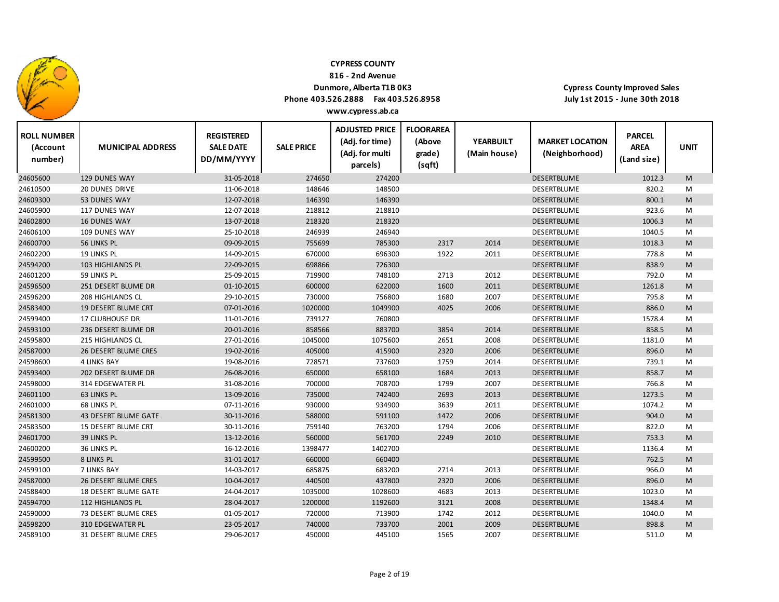

**816 ‐ 2nd Avenue**

### **Dunmore, Alberta T1B 0K3**

**Phone 403.526.2888 Fax 403.526.8958**

**Cypress County Improved Sales July 1st 2015 ‐ June 30th 2018**

| <b>ROLL NUMBER</b><br>(Account<br>number) | <b>MUNICIPAL ADDRESS</b>    | <b>REGISTERED</b><br><b>SALE DATE</b><br>DD/MM/YYYY | <b>SALE PRICE</b> | <b>ADJUSTED PRICE</b><br>(Adj. for time)<br>(Adj. for multi<br>parcels) | <b>FLOORAREA</b><br>(Above<br>grade)<br>(sqft) | <b>YEARBUILT</b><br>(Main house) | <b>MARKET LOCATION</b><br>(Neighborhood) | <b>PARCEL</b><br><b>AREA</b><br>(Land size) | <b>UNIT</b> |
|-------------------------------------------|-----------------------------|-----------------------------------------------------|-------------------|-------------------------------------------------------------------------|------------------------------------------------|----------------------------------|------------------------------------------|---------------------------------------------|-------------|
| 24605600                                  | 129 DUNES WAY               | 31-05-2018                                          | 274650            | 274200                                                                  |                                                |                                  | DESERTBLUME                              | 1012.3                                      | M           |
| 24610500                                  | <b>20 DUNES DRIVE</b>       | 11-06-2018                                          | 148646            | 148500                                                                  |                                                |                                  | <b>DESERTBLUME</b>                       | 820.2                                       | M           |
| 24609300                                  | 53 DUNES WAY                | 12-07-2018                                          | 146390            | 146390                                                                  |                                                |                                  | <b>DESERTBLUME</b>                       | 800.1                                       | M           |
| 24605900                                  | 117 DUNES WAY               | 12-07-2018                                          | 218812            | 218810                                                                  |                                                |                                  | <b>DESERTBLUME</b>                       | 923.6                                       | M           |
| 24602800                                  | <b>16 DUNES WAY</b>         | 13-07-2018                                          | 218320            | 218320                                                                  |                                                |                                  | DESERTBLUME                              | 1006.3                                      | M           |
| 24606100                                  | 109 DUNES WAY               | 25-10-2018                                          | 246939            | 246940                                                                  |                                                |                                  | <b>DESERTBLUME</b>                       | 1040.5                                      | M           |
| 24600700                                  | 56 LINKS PL                 | 09-09-2015                                          | 755699            | 785300                                                                  | 2317                                           | 2014                             | DESERTBLUME                              | 1018.3                                      | M           |
| 24602200                                  | 19 LINKS PL                 | 14-09-2015                                          | 670000            | 696300                                                                  | 1922                                           | 2011                             | <b>DESERTBLUME</b>                       | 778.8                                       | M           |
| 24594200                                  | 103 HIGHLANDS PL            | 22-09-2015                                          | 698866            | 726300                                                                  |                                                |                                  | <b>DESERTBLUME</b>                       | 838.9                                       | M           |
| 24601200                                  | 59 LINKS PL                 | 25-09-2015                                          | 719900            | 748100                                                                  | 2713                                           | 2012                             | DESERTBLUME                              | 792.0                                       | M           |
| 24596500                                  | 251 DESERT BLUME DR         | 01-10-2015                                          | 600000            | 622000                                                                  | 1600                                           | 2011                             | <b>DESERTBLUME</b>                       | 1261.8                                      | M           |
| 24596200                                  | 208 HIGHLANDS CL            | 29-10-2015                                          | 730000            | 756800                                                                  | 1680                                           | 2007                             | <b>DESERTBLUME</b>                       | 795.8                                       | M           |
| 24583400                                  | <b>19 DESERT BLUME CRT</b>  | 07-01-2016                                          | 1020000           | 1049900                                                                 | 4025                                           | 2006                             | <b>DESERTBLUME</b>                       | 886.0                                       | M           |
| 24599400                                  | 17 CLUBHOUSE DR             | 11-01-2016                                          | 739127            | 760800                                                                  |                                                |                                  | DESERTBLUME                              | 1578.4                                      | M           |
| 24593100                                  | 236 DESERT BLUME DR         | 20-01-2016                                          | 858566            | 883700                                                                  | 3854                                           | 2014                             | DESERTBLUME                              | 858.5                                       | M           |
| 24595800                                  | 215 HIGHLANDS CL            | 27-01-2016                                          | 1045000           | 1075600                                                                 | 2651                                           | 2008                             | DESERTBLUME                              | 1181.0                                      | М           |
| 24587000                                  | 26 DESERT BLUME CRES        | 19-02-2016                                          | 405000            | 415900                                                                  | 2320                                           | 2006                             | DESERTBLUME                              | 896.0                                       | M           |
| 24598600                                  | <b>4 LINKS BAY</b>          | 19-08-2016                                          | 728571            | 737600                                                                  | 1759                                           | 2014                             | DESERTBLUME                              | 739.1                                       | M           |
| 24593400                                  | 202 DESERT BLUME DR         | 26-08-2016                                          | 650000            | 658100                                                                  | 1684                                           | 2013                             | <b>DESERTBLUME</b>                       | 858.7                                       | M           |
| 24598000                                  | 314 EDGEWATER PL            | 31-08-2016                                          | 700000            | 708700                                                                  | 1799                                           | 2007                             | DESERTBLUME                              | 766.8                                       | М           |
| 24601100                                  | <b>63 LINKS PL</b>          | 13-09-2016                                          | 735000            | 742400                                                                  | 2693                                           | 2013                             | DESERTBLUME                              | 1273.5                                      | M           |
| 24601000                                  | <b>68 LINKS PL</b>          | 07-11-2016                                          | 930000            | 934900                                                                  | 3639                                           | 2011                             | DESERTBLUME                              | 1074.2                                      | M           |
| 24581300                                  | <b>43 DESERT BLUME GATE</b> | 30-11-2016                                          | 588000            | 591100                                                                  | 1472                                           | 2006                             | <b>DESERTBLUME</b>                       | 904.0                                       | M           |
| 24583500                                  | 15 DESERT BLUME CRT         | 30-11-2016                                          | 759140            | 763200                                                                  | 1794                                           | 2006                             | DESERTBLUME                              | 822.0                                       | M           |
| 24601700                                  | <b>39 LINKS PL</b>          | 13-12-2016                                          | 560000            | 561700                                                                  | 2249                                           | 2010                             | DESERTBLUME                              | 753.3                                       | M           |
| 24600200                                  | 36 LINKS PL                 | 16-12-2016                                          | 1398477           | 1402700                                                                 |                                                |                                  | DESERTBLUME                              | 1136.4                                      | М           |
| 24599500                                  | 8 LINKS PL                  | 31-01-2017                                          | 660000            | 660400                                                                  |                                                |                                  | DESERTBLUME                              | 762.5                                       | M           |
| 24599100                                  | 7 LINKS BAY                 | 14-03-2017                                          | 685875            | 683200                                                                  | 2714                                           | 2013                             | DESERTBLUME                              | 966.0                                       | M           |
| 24587000                                  | <b>26 DESERT BLUME CRES</b> | 10-04-2017                                          | 440500            | 437800                                                                  | 2320                                           | 2006                             | <b>DESERTBLUME</b>                       | 896.0                                       | M           |
| 24588400                                  | 18 DESERT BLUME GATE        | 24-04-2017                                          | 1035000           | 1028600                                                                 | 4683                                           | 2013                             | DESERTBLUME                              | 1023.0                                      | M           |
| 24594700                                  | 112 HIGHLANDS PL            | 28-04-2017                                          | 1200000           | 1192600                                                                 | 3121                                           | 2008                             | <b>DESERTBLUME</b>                       | 1348.4                                      | M           |
| 24590000                                  | 73 DESERT BLUME CRES        | 01-05-2017                                          | 720000            | 713900                                                                  | 1742                                           | 2012                             | DESERTBLUME                              | 1040.0                                      | M           |
| 24598200                                  | <b>310 EDGEWATER PL</b>     | 23-05-2017                                          | 740000            | 733700                                                                  | 2001                                           | 2009                             | <b>DESERTBLUME</b>                       | 898.8                                       | M           |
| 24589100                                  | <b>31 DESERT BLUME CRES</b> | 29-06-2017                                          | 450000            | 445100                                                                  | 1565                                           | 2007                             | <b>DESERTBLUME</b>                       | 511.0                                       | M           |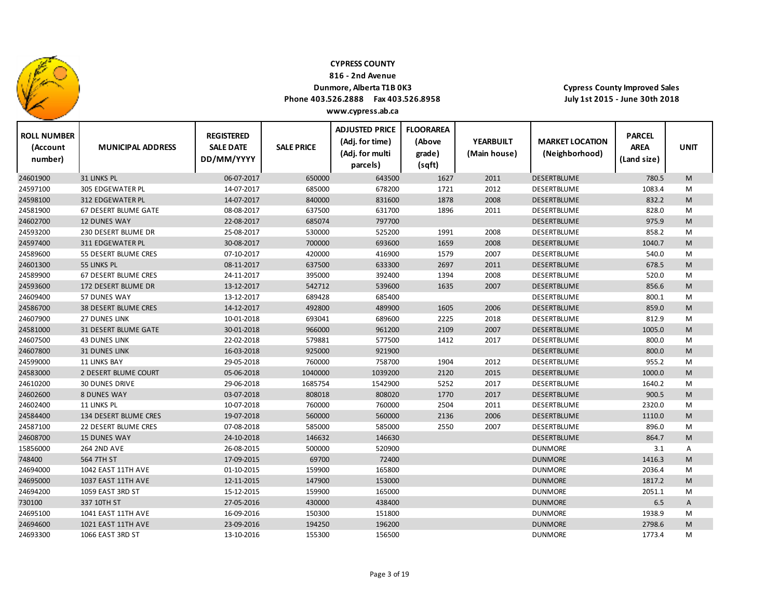

**816 ‐ 2nd Avenue**

### **Dunmore, Alberta T1B 0K3**

**Phone 403.526.2888 Fax 403.526.8958 www.cypress.ab.ca**

| <b>ROLL NUMBER</b><br>(Account<br>number) | <b>MUNICIPAL ADDRESS</b> | <b>REGISTERED</b><br><b>SALE DATE</b><br>DD/MM/YYYY | <b>SALE PRICE</b> | <b>ADJUSTED PRICE</b><br>(Adj. for time)<br>(Adj. for multi<br>parcels) | <b>FLOORAREA</b><br>(Above<br>grade)<br>(sqft) | <b>YEARBUILT</b><br>(Main house) | <b>MARKET LOCATION</b><br>(Neighborhood) | <b>PARCEL</b><br><b>AREA</b><br>(Land size) | <b>UNIT</b> |
|-------------------------------------------|--------------------------|-----------------------------------------------------|-------------------|-------------------------------------------------------------------------|------------------------------------------------|----------------------------------|------------------------------------------|---------------------------------------------|-------------|
| 24601900                                  | 31 LINKS PL              | 06-07-2017                                          | 650000            | 643500                                                                  | 1627                                           | 2011                             | <b>DESERTBLUME</b>                       | 780.5                                       | M           |
| 24597100                                  | <b>305 EDGEWATER PL</b>  | 14-07-2017                                          | 685000            | 678200                                                                  | 1721                                           | 2012                             | <b>DESERTBLUME</b>                       | 1083.4                                      | M           |
| 24598100                                  | <b>312 EDGEWATER PL</b>  | 14-07-2017                                          | 840000            | 831600                                                                  | 1878                                           | 2008                             | <b>DESERTBLUME</b>                       | 832.2                                       | M           |
| 24581900                                  | 67 DESERT BLUME GATE     | 08-08-2017                                          | 637500            | 631700                                                                  | 1896                                           | 2011                             | DESERTBLUME                              | 828.0                                       | M           |
| 24602700                                  | <b>12 DUNES WAY</b>      | 22-08-2017                                          | 685074            | 797700                                                                  |                                                |                                  | <b>DESERTBLUME</b>                       | 975.9                                       | M           |
| 24593200                                  | 230 DESERT BLUME DR      | 25-08-2017                                          | 530000            | 525200                                                                  | 1991                                           | 2008                             | DESERTBLUME                              | 858.2                                       | M           |
| 24597400                                  | <b>311 EDGEWATER PL</b>  | 30-08-2017                                          | 700000            | 693600                                                                  | 1659                                           | 2008                             | <b>DESERTBLUME</b>                       | 1040.7                                      | M           |
| 24589600                                  | 55 DESERT BLUME CRES     | 07-10-2017                                          | 420000            | 416900                                                                  | 1579                                           | 2007                             | DESERTBLUME                              | 540.0                                       | M           |
| 24601300                                  | 55 LINKS PL              | 08-11-2017                                          | 637500            | 633300                                                                  | 2697                                           | 2011                             | DESERTBLUME                              | 678.5                                       | M           |
| 24589900                                  | 67 DESERT BLUME CRES     | 24-11-2017                                          | 395000            | 392400                                                                  | 1394                                           | 2008                             | <b>DESERTBLUME</b>                       | 520.0                                       | M           |
| 24593600                                  | 172 DESERT BLUME DR      | 13-12-2017                                          | 542712            | 539600                                                                  | 1635                                           | 2007                             | <b>DESERTBLUME</b>                       | 856.6                                       | M           |
| 24609400                                  | 57 DUNES WAY             | 13-12-2017                                          | 689428            | 685400                                                                  |                                                |                                  | <b>DESERTBLUME</b>                       | 800.1                                       | M           |
| 24586700                                  | 38 DESERT BLUME CRES     | 14-12-2017                                          | 492800            | 489900                                                                  | 1605                                           | 2006                             | <b>DESERTBLUME</b>                       | 859.0                                       | M           |
| 24607900                                  | <b>27 DUNES LINK</b>     | 10-01-2018                                          | 693041            | 689600                                                                  | 2225                                           | 2018                             | DESERTBLUME                              | 812.9                                       | M           |
| 24581000                                  | 31 DESERT BLUME GATE     | 30-01-2018                                          | 966000            | 961200                                                                  | 2109                                           | 2007                             | DESERTBLUME                              | 1005.0                                      | M           |
| 24607500                                  | <b>43 DUNES LINK</b>     | 22-02-2018                                          | 579881            | 577500                                                                  | 1412                                           | 2017                             | <b>DESERTBLUME</b>                       | 800.0                                       | M           |
| 24607800                                  | <b>31 DUNES LINK</b>     | 16-03-2018                                          | 925000            | 921900                                                                  |                                                |                                  | DESERTBLUME                              | 800.0                                       | M           |
| 24599000                                  | <b>11 LINKS BAY</b>      | 29-05-2018                                          | 760000            | 758700                                                                  | 1904                                           | 2012                             | <b>DESERTBLUME</b>                       | 955.2                                       | M           |
| 24583000                                  | 2 DESERT BLUME COURT     | 05-06-2018                                          | 1040000           | 1039200                                                                 | 2120                                           | 2015                             | <b>DESERTBLUME</b>                       | 1000.0                                      | M           |
| 24610200                                  | <b>30 DUNES DRIVE</b>    | 29-06-2018                                          | 1685754           | 1542900                                                                 | 5252                                           | 2017                             | DESERTBLUME                              | 1640.2                                      | M           |
| 24602600                                  | <b>8 DUNES WAY</b>       | 03-07-2018                                          | 808018            | 808020                                                                  | 1770                                           | 2017                             | <b>DESERTBLUME</b>                       | 900.5                                       | M           |
| 24602400                                  | <b>11 LINKS PL</b>       | 10-07-2018                                          | 760000            | 760000                                                                  | 2504                                           | 2011                             | <b>DESERTBLUME</b>                       | 2320.0                                      | M           |
| 24584400                                  | 134 DESERT BLUME CRES    | 19-07-2018                                          | 560000            | 560000                                                                  | 2136                                           | 2006                             | DESERTBLUME                              | 1110.0                                      | M           |
| 24587100                                  | 22 DESERT BLUME CRES     | 07-08-2018                                          | 585000            | 585000                                                                  | 2550                                           | 2007                             | DESERTBLUME                              | 896.0                                       | M           |
| 24608700                                  | <b>15 DUNES WAY</b>      | 24-10-2018                                          | 146632            | 146630                                                                  |                                                |                                  | DESERTBLUME                              | 864.7                                       | M           |
| 15856000                                  | <b>264 2ND AVE</b>       | 26-08-2015                                          | 500000            | 520900                                                                  |                                                |                                  | <b>DUNMORE</b>                           | 3.1                                         | Α           |
| 748400                                    | 564 7TH ST               | 17-09-2015                                          | 69700             | 72400                                                                   |                                                |                                  | <b>DUNMORE</b>                           | 1416.3                                      | M           |
| 24694000                                  | 1042 EAST 11TH AVE       | 01-10-2015                                          | 159900            | 165800                                                                  |                                                |                                  | <b>DUNMORE</b>                           | 2036.4                                      | M           |
| 24695000                                  | 1037 EAST 11TH AVE       | 12-11-2015                                          | 147900            | 153000                                                                  |                                                |                                  | <b>DUNMORE</b>                           | 1817.2                                      | M           |
| 24694200                                  | 1059 EAST 3RD ST         | 15-12-2015                                          | 159900            | 165000                                                                  |                                                |                                  | <b>DUNMORE</b>                           | 2051.1                                      | M           |
| 730100                                    | 337 10TH ST              | 27-05-2016                                          | 430000            | 438400                                                                  |                                                |                                  | <b>DUNMORE</b>                           | 6.5                                         | A           |
| 24695100                                  | 1041 EAST 11TH AVE       | 16-09-2016                                          | 150300            | 151800                                                                  |                                                |                                  | <b>DUNMORE</b>                           | 1938.9                                      | M           |
| 24694600                                  | 1021 EAST 11TH AVE       | 23-09-2016                                          | 194250            | 196200                                                                  |                                                |                                  | <b>DUNMORE</b>                           | 2798.6                                      | M           |
| 24693300                                  | 1066 EAST 3RD ST         | 13-10-2016                                          | 155300            | 156500                                                                  |                                                |                                  | <b>DUNMORE</b>                           | 1773.4                                      | M           |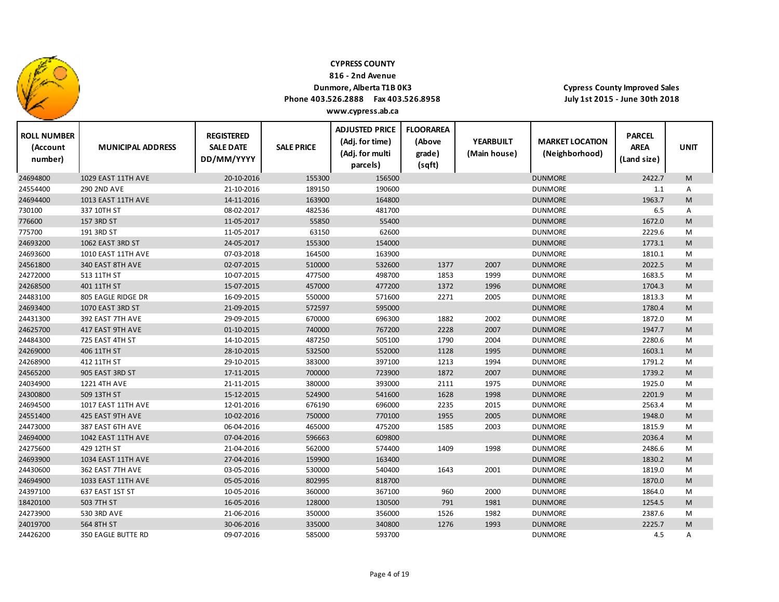

**816 ‐ 2nd Avenue**

### **Dunmore, Alberta T1B 0K3**

**Phone 403.526.2888 Fax 403.526.8958**

**Cypress County Improved Sales July 1st 2015 ‐ June 30th 2018**

| <b>ROLL NUMBER</b><br>(Account<br>number) | <b>MUNICIPAL ADDRESS</b> | <b>REGISTERED</b><br><b>SALE DATE</b><br>DD/MM/YYYY | <b>SALE PRICE</b> | <b>ADJUSTED PRICE</b><br>(Adj. for time)<br>(Adj. for multi<br>parcels) | <b>FLOORAREA</b><br>(Above<br>grade)<br>(sqft) | <b>YEARBUILT</b><br>(Main house) | <b>MARKET LOCATION</b><br>(Neighborhood) | <b>PARCEL</b><br><b>AREA</b><br>(Land size) | <b>UNIT</b> |
|-------------------------------------------|--------------------------|-----------------------------------------------------|-------------------|-------------------------------------------------------------------------|------------------------------------------------|----------------------------------|------------------------------------------|---------------------------------------------|-------------|
| 24694800                                  | 1029 EAST 11TH AVE       | 20-10-2016                                          | 155300            | 156500                                                                  |                                                |                                  | <b>DUNMORE</b>                           | 2422.7                                      | M           |
| 24554400                                  | <b>290 2ND AVE</b>       | 21-10-2016                                          | 189150            | 190600                                                                  |                                                |                                  | <b>DUNMORE</b>                           | 1.1                                         | Α           |
| 24694400                                  | 1013 EAST 11TH AVE       | 14-11-2016                                          | 163900            | 164800                                                                  |                                                |                                  | <b>DUNMORE</b>                           | 1963.7                                      | M           |
| 730100                                    | 337 10TH ST              | 08-02-2017                                          | 482536            | 481700                                                                  |                                                |                                  | <b>DUNMORE</b>                           | 6.5                                         | Α           |
| 776600                                    | 157 3RD ST               | 11-05-2017                                          | 55850             | 55400                                                                   |                                                |                                  | <b>DUNMORE</b>                           | 1672.0                                      | M           |
| 775700                                    | 191 3RD ST               | 11-05-2017                                          | 63150             | 62600                                                                   |                                                |                                  | <b>DUNMORE</b>                           | 2229.6                                      | M           |
| 24693200                                  | 1062 EAST 3RD ST         | 24-05-2017                                          | 155300            | 154000                                                                  |                                                |                                  | <b>DUNMORE</b>                           | 1773.1                                      | M           |
| 24693600                                  | 1010 EAST 11TH AVE       | 07-03-2018                                          | 164500            | 163900                                                                  |                                                |                                  | <b>DUNMORE</b>                           | 1810.1                                      | M           |
| 24561800                                  | 340 EAST 8TH AVE         | 02-07-2015                                          | 510000            | 532600                                                                  | 1377                                           | 2007                             | <b>DUNMORE</b>                           | 2022.5                                      | M           |
| 24272000                                  | 513 11TH ST              | 10-07-2015                                          | 477500            | 498700                                                                  | 1853                                           | 1999                             | <b>DUNMORE</b>                           | 1683.5                                      | M           |
| 24268500                                  | 401 11TH ST              | 15-07-2015                                          | 457000            | 477200                                                                  | 1372                                           | 1996                             | <b>DUNMORE</b>                           | 1704.3                                      | M           |
| 24483100                                  | 805 EAGLE RIDGE DR       | 16-09-2015                                          | 550000            | 571600                                                                  | 2271                                           | 2005                             | <b>DUNMORE</b>                           | 1813.3                                      | М           |
| 24693400                                  | 1070 EAST 3RD ST         | 21-09-2015                                          | 572597            | 595000                                                                  |                                                |                                  | <b>DUNMORE</b>                           | 1780.4                                      | M           |
| 24431300                                  | 392 EAST 7TH AVE         | 29-09-2015                                          | 670000            | 696300                                                                  | 1882                                           | 2002                             | <b>DUNMORE</b>                           | 1872.0                                      | M           |
| 24625700                                  | 417 EAST 9TH AVE         | 01-10-2015                                          | 740000            | 767200                                                                  | 2228                                           | 2007                             | <b>DUNMORE</b>                           | 1947.7                                      | M           |
| 24484300                                  | 725 EAST 4TH ST          | 14-10-2015                                          | 487250            | 505100                                                                  | 1790                                           | 2004                             | <b>DUNMORE</b>                           | 2280.6                                      | M           |
| 24269000                                  | 406 11TH ST              | 28-10-2015                                          | 532500            | 552000                                                                  | 1128                                           | 1995                             | <b>DUNMORE</b>                           | 1603.1                                      | M           |
| 24268900                                  | 412 11TH ST              | 29-10-2015                                          | 383000            | 397100                                                                  | 1213                                           | 1994                             | <b>DUNMORE</b>                           | 1791.2                                      | М           |
| 24565200                                  | 905 EAST 3RD ST          | 17-11-2015                                          | 700000            | 723900                                                                  | 1872                                           | 2007                             | <b>DUNMORE</b>                           | 1739.2                                      | M           |
| 24034900                                  | <b>1221 4TH AVE</b>      | 21-11-2015                                          | 380000            | 393000                                                                  | 2111                                           | 1975                             | <b>DUNMORE</b>                           | 1925.0                                      | M           |
| 24300800                                  | 509 13TH ST              | 15-12-2015                                          | 524900            | 541600                                                                  | 1628                                           | 1998                             | <b>DUNMORE</b>                           | 2201.9                                      | M           |
| 24694500                                  | 1017 EAST 11TH AVE       | 12-01-2016                                          | 676190            | 696000                                                                  | 2235                                           | 2015                             | <b>DUNMORE</b>                           | 2563.4                                      | Μ           |
| 24551400                                  | 425 EAST 9TH AVE         | 10-02-2016                                          | 750000            | 770100                                                                  | 1955                                           | 2005                             | <b>DUNMORE</b>                           | 1948.0                                      | M           |
| 24473000                                  | 387 EAST 6TH AVE         | 06-04-2016                                          | 465000            | 475200                                                                  | 1585                                           | 2003                             | <b>DUNMORE</b>                           | 1815.9                                      | M           |
| 24694000                                  | 1042 EAST 11TH AVE       | 07-04-2016                                          | 596663            | 609800                                                                  |                                                |                                  | <b>DUNMORE</b>                           | 2036.4                                      | M           |
| 24275600                                  | 429 12TH ST              | 21-04-2016                                          | 562000            | 574400                                                                  | 1409                                           | 1998                             | <b>DUNMORE</b>                           | 2486.6                                      | М           |
| 24693900                                  | 1034 EAST 11TH AVE       | 27-04-2016                                          | 159900            | 163400                                                                  |                                                |                                  | <b>DUNMORE</b>                           | 1830.2                                      | M           |
| 24430600                                  | 362 EAST 7TH AVE         | 03-05-2016                                          | 530000            | 540400                                                                  | 1643                                           | 2001                             | <b>DUNMORE</b>                           | 1819.0                                      | M           |
| 24694900                                  | 1033 EAST 11TH AVE       | 05-05-2016                                          | 802995            | 818700                                                                  |                                                |                                  | <b>DUNMORE</b>                           | 1870.0                                      | M           |
| 24397100                                  | 637 EAST 1ST ST          | 10-05-2016                                          | 360000            | 367100                                                                  | 960                                            | 2000                             | <b>DUNMORE</b>                           | 1864.0                                      | М           |
| 18420100                                  | 503 7TH ST               | 16-05-2016                                          | 128000            | 130500                                                                  | 791                                            | 1981                             | <b>DUNMORE</b>                           | 1254.5                                      | M           |
| 24273900                                  | 530 3RD AVE              | 21-06-2016                                          | 350000            | 356000                                                                  | 1526                                           | 1982                             | <b>DUNMORE</b>                           | 2387.6                                      | M           |
| 24019700                                  | 564 8TH ST               | 30-06-2016                                          | 335000            | 340800                                                                  | 1276                                           | 1993                             | <b>DUNMORE</b>                           | 2225.7                                      | M           |
| 24426200                                  | 350 EAGLE BUTTE RD       | 09-07-2016                                          | 585000            | 593700                                                                  |                                                |                                  | <b>DUNMORE</b>                           | 4.5                                         | Α           |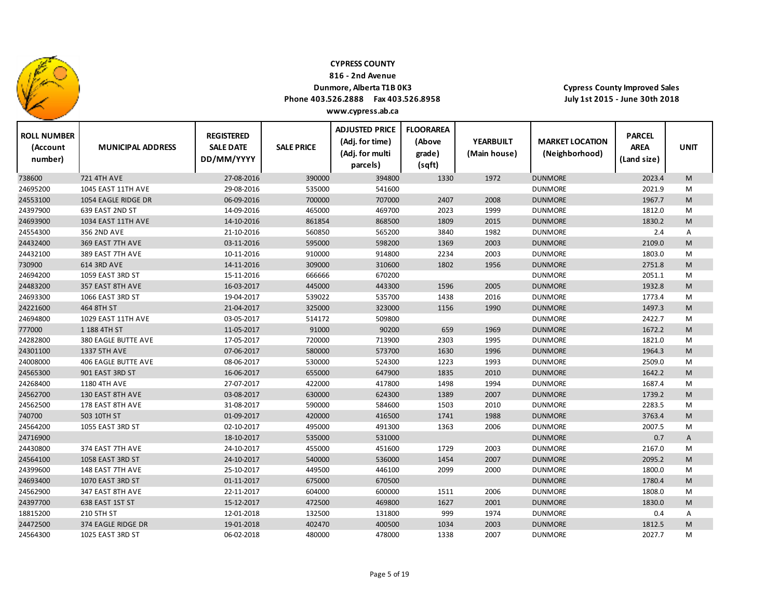

**816 ‐ 2nd Avenue**

### **Dunmore, Alberta T1B 0K3**

**Phone 403.526.2888 Fax 403.526.8958**

**Cypress County Improved Sales July 1st 2015 ‐ June 30th 2018**

| <b>ROLL NUMBER</b><br>(Account<br>number) | <b>MUNICIPAL ADDRESS</b> | <b>REGISTERED</b><br><b>SALE DATE</b><br>DD/MM/YYYY | <b>SALE PRICE</b> | <b>ADJUSTED PRICE</b><br>(Adj. for time)<br>(Adj. for multi<br>parcels) | <b>FLOORAREA</b><br>(Above<br>grade)<br>(sqft) | <b>YEARBUILT</b><br>(Main house) | <b>MARKET LOCATION</b><br>(Neighborhood) | <b>PARCEL</b><br><b>AREA</b><br>(Land size) | <b>UNIT</b>    |
|-------------------------------------------|--------------------------|-----------------------------------------------------|-------------------|-------------------------------------------------------------------------|------------------------------------------------|----------------------------------|------------------------------------------|---------------------------------------------|----------------|
| 738600                                    | <b>721 4TH AVE</b>       | 27-08-2016                                          | 390000            | 394800                                                                  | 1330                                           | 1972                             | <b>DUNMORE</b>                           | 2023.4                                      | M              |
| 24695200                                  | 1045 EAST 11TH AVE       | 29-08-2016                                          | 535000            | 541600                                                                  |                                                |                                  | <b>DUNMORE</b>                           | 2021.9                                      | M              |
| 24553100                                  | 1054 EAGLE RIDGE DR      | 06-09-2016                                          | 700000            | 707000                                                                  | 2407                                           | 2008                             | <b>DUNMORE</b>                           | 1967.7                                      | M              |
| 24397900                                  | 639 EAST 2ND ST          | 14-09-2016                                          | 465000            | 469700                                                                  | 2023                                           | 1999                             | <b>DUNMORE</b>                           | 1812.0                                      | M              |
| 24693900                                  | 1034 EAST 11TH AVE       | 14-10-2016                                          | 861854            | 868500                                                                  | 1809                                           | 2015                             | <b>DUNMORE</b>                           | 1830.2                                      | M              |
| 24554300                                  | 356 2ND AVE              | 21-10-2016                                          | 560850            | 565200                                                                  | 3840                                           | 1982                             | <b>DUNMORE</b>                           | 2.4                                         | A              |
| 24432400                                  | 369 EAST 7TH AVE         | 03-11-2016                                          | 595000            | 598200                                                                  | 1369                                           | 2003                             | <b>DUNMORE</b>                           | 2109.0                                      | M              |
| 24432100                                  | 389 EAST 7TH AVE         | 10-11-2016                                          | 910000            | 914800                                                                  | 2234                                           | 2003                             | <b>DUNMORE</b>                           | 1803.0                                      | M              |
| 730900                                    | 614 3RD AVE              | 14-11-2016                                          | 309000            | 310600                                                                  | 1802                                           | 1956                             | <b>DUNMORE</b>                           | 2751.8                                      | M              |
| 24694200                                  | 1059 EAST 3RD ST         | 15-11-2016                                          | 666666            | 670200                                                                  |                                                |                                  | <b>DUNMORE</b>                           | 2051.1                                      | M              |
| 24483200                                  | 357 EAST 8TH AVE         | 16-03-2017                                          | 445000            | 443300                                                                  | 1596                                           | 2005                             | <b>DUNMORE</b>                           | 1932.8                                      | M              |
| 24693300                                  | 1066 EAST 3RD ST         | 19-04-2017                                          | 539022            | 535700                                                                  | 1438                                           | 2016                             | <b>DUNMORE</b>                           | 1773.4                                      | M              |
| 24221600                                  | 464 8TH ST               | 21-04-2017                                          | 325000            | 323000                                                                  | 1156                                           | 1990                             | <b>DUNMORE</b>                           | 1497.3                                      | M              |
| 24694800                                  | 1029 EAST 11TH AVE       | 03-05-2017                                          | 514172            | 509800                                                                  |                                                |                                  | <b>DUNMORE</b>                           | 2422.7                                      | M              |
| 777000                                    | 1 188 4TH ST             | 11-05-2017                                          | 91000             | 90200                                                                   | 659                                            | 1969                             | <b>DUNMORE</b>                           | 1672.2                                      | M              |
| 24282800                                  | 380 EAGLE BUTTE AVE      | 17-05-2017                                          | 720000            | 713900                                                                  | 2303                                           | 1995                             | <b>DUNMORE</b>                           | 1821.0                                      | M              |
| 24301100                                  | 1337 5TH AVE             | 07-06-2017                                          | 580000            | 573700                                                                  | 1630                                           | 1996                             | <b>DUNMORE</b>                           | 1964.3                                      | M              |
| 24008000                                  | 406 EAGLE BUTTE AVE      | 08-06-2017                                          | 530000            | 524300                                                                  | 1223                                           | 1993                             | <b>DUNMORE</b>                           | 2509.0                                      | M              |
| 24565300                                  | 901 EAST 3RD ST          | 16-06-2017                                          | 655000            | 647900                                                                  | 1835                                           | 2010                             | <b>DUNMORE</b>                           | 1642.2                                      | M              |
| 24268400                                  | 1180 4TH AVE             | 27-07-2017                                          | 422000            | 417800                                                                  | 1498                                           | 1994                             | <b>DUNMORE</b>                           | 1687.4                                      | M              |
| 24562700                                  | 130 EAST 8TH AVE         | 03-08-2017                                          | 630000            | 624300                                                                  | 1389                                           | 2007                             | <b>DUNMORE</b>                           | 1739.2                                      | M              |
| 24562500                                  | 178 EAST 8TH AVE         | 31-08-2017                                          | 590000            | 584600                                                                  | 1503                                           | 2010                             | <b>DUNMORE</b>                           | 2283.5                                      | M              |
| 740700                                    | 503 10TH ST              | 01-09-2017                                          | 420000            | 416500                                                                  | 1741                                           | 1988                             | <b>DUNMORE</b>                           | 3763.4                                      | M              |
| 24564200                                  | 1055 EAST 3RD ST         | 02-10-2017                                          | 495000            | 491300                                                                  | 1363                                           | 2006                             | <b>DUNMORE</b>                           | 2007.5                                      | M              |
| 24716900                                  |                          | 18-10-2017                                          | 535000            | 531000                                                                  |                                                |                                  | <b>DUNMORE</b>                           | 0.7                                         | $\overline{A}$ |
| 24430800                                  | 374 EAST 7TH AVE         | 24-10-2017                                          | 455000            | 451600                                                                  | 1729                                           | 2003                             | <b>DUNMORE</b>                           | 2167.0                                      | M              |
| 24564100                                  | 1058 EAST 3RD ST         | 24-10-2017                                          | 540000            | 536000                                                                  | 1454                                           | 2007                             | <b>DUNMORE</b>                           | 2095.2                                      | M              |
| 24399600                                  | 148 EAST 7TH AVE         | 25-10-2017                                          | 449500            | 446100                                                                  | 2099                                           | 2000                             | <b>DUNMORE</b>                           | 1800.0                                      | M              |
| 24693400                                  | 1070 EAST 3RD ST         | 01-11-2017                                          | 675000            | 670500                                                                  |                                                |                                  | <b>DUNMORE</b>                           | 1780.4                                      | M              |
| 24562900                                  | 347 EAST 8TH AVE         | 22-11-2017                                          | 604000            | 600000                                                                  | 1511                                           | 2006                             | <b>DUNMORE</b>                           | 1808.0                                      | M              |
| 24397700                                  | 638 EAST 1ST ST          | 15-12-2017                                          | 472500            | 469800                                                                  | 1627                                           | 2001                             | <b>DUNMORE</b>                           | 1830.0                                      | M              |
| 18815200                                  | 210 5TH ST               | 12-01-2018                                          | 132500            | 131800                                                                  | 999                                            | 1974                             | <b>DUNMORE</b>                           | 0.4                                         | Α              |
| 24472500                                  | 374 EAGLE RIDGE DR       | 19-01-2018                                          | 402470            | 400500                                                                  | 1034                                           | 2003                             | <b>DUNMORE</b>                           | 1812.5                                      | M              |
| 24564300                                  | 1025 EAST 3RD ST         | 06-02-2018                                          | 480000            | 478000                                                                  | 1338                                           | 2007                             | <b>DUNMORE</b>                           | 2027.7                                      | M              |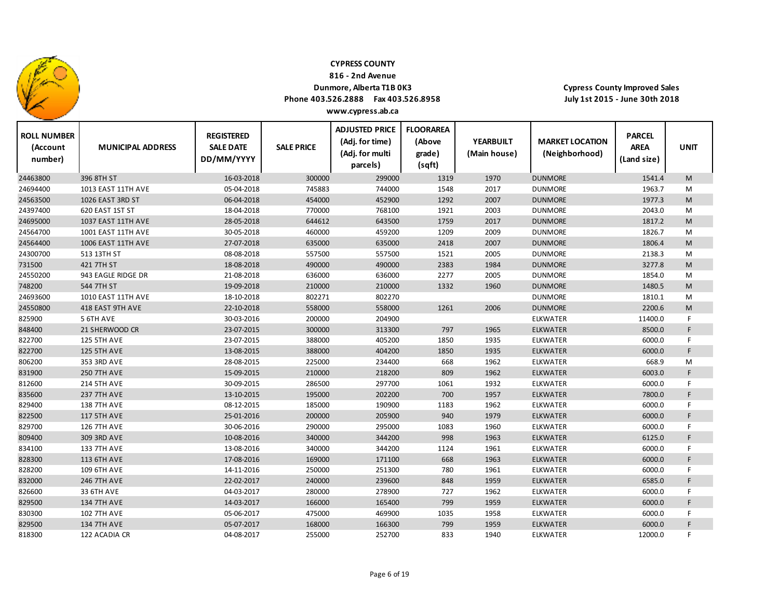

**816 ‐ 2nd Avenue**

## **Dunmore, Alberta T1B 0K3**

**Phone 403.526.2888 Fax 403.526.8958**

| www.cypress.ab.ca |  |
|-------------------|--|
|                   |  |

| <b>ROLL NUMBER</b><br>(Account<br>number) | <b>MUNICIPAL ADDRESS</b> | <b>REGISTERED</b><br><b>SALE DATE</b><br>DD/MM/YYYY | <b>SALE PRICE</b> | <b>ADJUSTED PRICE</b><br>(Adj. for time)<br>(Adj. for multi<br>parcels) | <b>FLOORAREA</b><br>(Above<br>grade)<br>(sqft) | <b>YEARBUILT</b><br>(Main house) | <b>MARKET LOCATION</b><br>(Neighborhood) | <b>PARCEL</b><br><b>AREA</b><br>(Land size) | <b>UNIT</b> |
|-------------------------------------------|--------------------------|-----------------------------------------------------|-------------------|-------------------------------------------------------------------------|------------------------------------------------|----------------------------------|------------------------------------------|---------------------------------------------|-------------|
| 24463800                                  | 396 8TH ST               | 16-03-2018                                          | 300000            | 299000                                                                  | 1319                                           | 1970                             | <b>DUNMORE</b>                           | 1541.4                                      | M           |
| 24694400                                  | 1013 EAST 11TH AVE       | 05-04-2018                                          | 745883            | 744000                                                                  | 1548                                           | 2017                             | <b>DUNMORE</b>                           | 1963.7                                      | M           |
| 24563500                                  | 1026 EAST 3RD ST         | 06-04-2018                                          | 454000            | 452900                                                                  | 1292                                           | 2007                             | <b>DUNMORE</b>                           | 1977.3                                      | ${\sf M}$   |
| 24397400                                  | 620 EAST 1ST ST          | 18-04-2018                                          | 770000            | 768100                                                                  | 1921                                           | 2003                             | <b>DUNMORE</b>                           | 2043.0                                      | M           |
| 24695000                                  | 1037 EAST 11TH AVE       | 28-05-2018                                          | 644612            | 643500                                                                  | 1759                                           | 2017                             | <b>DUNMORE</b>                           | 1817.2                                      | M           |
| 24564700                                  | 1001 EAST 11TH AVE       | 30-05-2018                                          | 460000            | 459200                                                                  | 1209                                           | 2009                             | <b>DUNMORE</b>                           | 1826.7                                      | M           |
| 24564400                                  | 1006 EAST 11TH AVE       | 27-07-2018                                          | 635000            | 635000                                                                  | 2418                                           | 2007                             | <b>DUNMORE</b>                           | 1806.4                                      | M           |
| 24300700                                  | 513 13TH ST              | 08-08-2018                                          | 557500            | 557500                                                                  | 1521                                           | 2005                             | <b>DUNMORE</b>                           | 2138.3                                      | M           |
| 731500                                    | 421 7TH ST               | 18-08-2018                                          | 490000            | 490000                                                                  | 2383                                           | 1984                             | <b>DUNMORE</b>                           | 3277.8                                      | M           |
| 24550200                                  | 943 EAGLE RIDGE DR       | 21-08-2018                                          | 636000            | 636000                                                                  | 2277                                           | 2005                             | <b>DUNMORE</b>                           | 1854.0                                      | M           |
| 748200                                    | 544 7TH ST               | 19-09-2018                                          | 210000            | 210000                                                                  | 1332                                           | 1960                             | <b>DUNMORE</b>                           | 1480.5                                      | M           |
| 24693600                                  | 1010 EAST 11TH AVE       | 18-10-2018                                          | 802271            | 802270                                                                  |                                                |                                  | <b>DUNMORE</b>                           | 1810.1                                      | M           |
| 24550800                                  | 418 EAST 9TH AVE         | 22-10-2018                                          | 558000            | 558000                                                                  | 1261                                           | 2006                             | <b>DUNMORE</b>                           | 2200.6                                      | M           |
| 825900                                    | 5 6TH AVE                | 30-03-2016                                          | 200000            | 204900                                                                  |                                                |                                  | <b>ELKWATER</b>                          | 11400.0                                     | F           |
| 848400                                    | 21 SHERWOOD CR           | 23-07-2015                                          | 300000            | 313300                                                                  | 797                                            | 1965                             | <b>ELKWATER</b>                          | 8500.0                                      | F.          |
| 822700                                    | <b>125 5TH AVE</b>       | 23-07-2015                                          | 388000            | 405200                                                                  | 1850                                           | 1935                             | <b>ELKWATER</b>                          | 6000.0                                      | F           |
| 822700                                    | <b>125 5TH AVE</b>       | 13-08-2015                                          | 388000            | 404200                                                                  | 1850                                           | 1935                             | <b>ELKWATER</b>                          | 6000.0                                      | F.          |
| 806200                                    | 353 3RD AVE              | 28-08-2015                                          | 225000            | 234400                                                                  | 668                                            | 1962                             | <b>ELKWATER</b>                          | 668.9                                       | M           |
| 831900                                    | <b>250 7TH AVE</b>       | 15-09-2015                                          | 210000            | 218200                                                                  | 809                                            | 1962                             | <b>ELKWATER</b>                          | 6003.0                                      | F           |
| 812600                                    | <b>214 5TH AVE</b>       | 30-09-2015                                          | 286500            | 297700                                                                  | 1061                                           | 1932                             | ELKWATER                                 | 6000.0                                      | F.          |
| 835600                                    | <b>237 7TH AVE</b>       | 13-10-2015                                          | 195000            | 202200                                                                  | 700                                            | 1957                             | <b>ELKWATER</b>                          | 7800.0                                      | F           |
| 829400                                    | <b>138 7TH AVE</b>       | 08-12-2015                                          | 185000            | 190900                                                                  | 1183                                           | 1962                             | <b>ELKWATER</b>                          | 6000.0                                      | F.          |
| 822500                                    | <b>117 5TH AVE</b>       | 25-01-2016                                          | 200000            | 205900                                                                  | 940                                            | 1979                             | <b>ELKWATER</b>                          | 6000.0                                      | F           |
| 829700                                    | <b>126 7TH AVE</b>       | 30-06-2016                                          | 290000            | 295000                                                                  | 1083                                           | 1960                             | <b>ELKWATER</b>                          | 6000.0                                      | F.          |
| 809400                                    | 309 3RD AVE              | 10-08-2016                                          | 340000            | 344200                                                                  | 998                                            | 1963                             | <b>ELKWATER</b>                          | 6125.0                                      | F.          |
| 834100                                    | <b>133 7TH AVE</b>       | 13-08-2016                                          | 340000            | 344200                                                                  | 1124                                           | 1961                             | <b>ELKWATER</b>                          | 6000.0                                      | F.          |
| 828300                                    | <b>113 6TH AVE</b>       | 17-08-2016                                          | 169000            | 171100                                                                  | 668                                            | 1963                             | <b>ELKWATER</b>                          | 6000.0                                      | F           |
| 828200                                    | <b>109 6TH AVE</b>       | 14-11-2016                                          | 250000            | 251300                                                                  | 780                                            | 1961                             | <b>ELKWATER</b>                          | 6000.0                                      | F           |
| 832000                                    | <b>246 7TH AVE</b>       | 22-02-2017                                          | 240000            | 239600                                                                  | 848                                            | 1959                             | <b>ELKWATER</b>                          | 6585.0                                      | F           |
| 826600                                    | 33 6TH AVE               | 04-03-2017                                          | 280000            | 278900                                                                  | 727                                            | 1962                             | <b>ELKWATER</b>                          | 6000.0                                      | F.          |
| 829500                                    | <b>134 7TH AVE</b>       | 14-03-2017                                          | 166000            | 165400                                                                  | 799                                            | 1959                             | <b>ELKWATER</b>                          | 6000.0                                      | F.          |
| 830300                                    | <b>102 7TH AVE</b>       | 05-06-2017                                          | 475000            | 469900                                                                  | 1035                                           | 1958                             | <b>ELKWATER</b>                          | 6000.0                                      | F.          |
| 829500                                    | <b>134 7TH AVE</b>       | 05-07-2017                                          | 168000            | 166300                                                                  | 799                                            | 1959                             | <b>ELKWATER</b>                          | 6000.0                                      | F.          |
| 818300                                    | 122 ACADIA CR            | 04-08-2017                                          | 255000            | 252700                                                                  | 833                                            | 1940                             | <b>ELKWATER</b>                          | 12000.0                                     | F.          |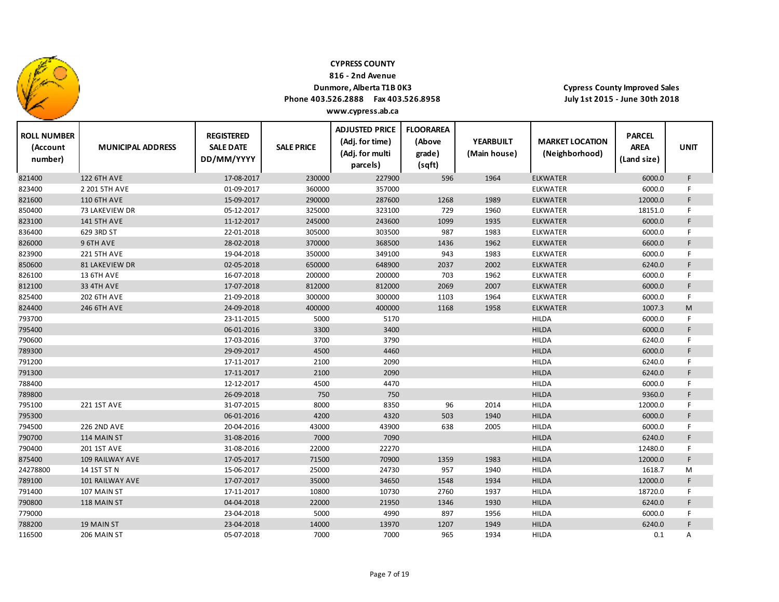

**816 ‐ 2nd Avenue**

## **Dunmore, Alberta T1B 0K3**

**Phone 403.526.2888 Fax 403.526.8958 www.cypress.ab.ca**

| <b>ROLL NUMBER</b><br>(Account<br>number) | <b>MUNICIPAL ADDRESS</b> | <b>REGISTERED</b><br><b>SALE DATE</b><br>DD/MM/YYYY | <b>SALE PRICE</b> | <b>ADJUSTED PRICE</b><br>(Adj. for time)<br>(Adj. for multi<br>parcels) | <b>FLOORAREA</b><br>(Above<br>grade)<br>(sqft) | <b>YEARBUILT</b><br>(Main house) | <b>MARKET LOCATION</b><br>(Neighborhood) | <b>PARCEL</b><br><b>AREA</b><br>(Land size) | <b>UNIT</b> |
|-------------------------------------------|--------------------------|-----------------------------------------------------|-------------------|-------------------------------------------------------------------------|------------------------------------------------|----------------------------------|------------------------------------------|---------------------------------------------|-------------|
| 821400                                    | <b>122 6TH AVE</b>       | 17-08-2017                                          | 230000            | 227900                                                                  | 596                                            | 1964                             | <b>ELKWATER</b>                          | 6000.0                                      | F           |
| 823400                                    | 2 201 5TH AVE            | 01-09-2017                                          | 360000            | 357000                                                                  |                                                |                                  | <b>ELKWATER</b>                          | 6000.0                                      | F.          |
| 821600                                    | <b>110 6TH AVE</b>       | 15-09-2017                                          | 290000            | 287600                                                                  | 1268                                           | 1989                             | <b>ELKWATER</b>                          | 12000.0                                     | F           |
| 850400                                    | 73 LAKEVIEW DR           | 05-12-2017                                          | 325000            | 323100                                                                  | 729                                            | 1960                             | <b>ELKWATER</b>                          | 18151.0                                     | F.          |
| 823100                                    | <b>141 5TH AVE</b>       | 11-12-2017                                          | 245000            | 243600                                                                  | 1099                                           | 1935                             | <b>ELKWATER</b>                          | 6000.0                                      | F.          |
| 836400                                    | 629 3RD ST               | 22-01-2018                                          | 305000            | 303500                                                                  | 987                                            | 1983                             | <b>ELKWATER</b>                          | 6000.0                                      | F.          |
| 826000                                    | 9 6TH AVE                | 28-02-2018                                          | 370000            | 368500                                                                  | 1436                                           | 1962                             | <b>ELKWATER</b>                          | 6600.0                                      | F.          |
| 823900                                    | <b>221 5TH AVE</b>       | 19-04-2018                                          | 350000            | 349100                                                                  | 943                                            | 1983                             | <b>ELKWATER</b>                          | 6000.0                                      | F.          |
| 850600                                    | <b>81 LAKEVIEW DR</b>    | 02-05-2018                                          | 650000            | 648900                                                                  | 2037                                           | 2002                             | <b>ELKWATER</b>                          | 6240.0                                      | F           |
| 826100                                    | 13 6TH AVE               | 16-07-2018                                          | 200000            | 200000                                                                  | 703                                            | 1962                             | ELKWATER                                 | 6000.0                                      | F.          |
| 812100                                    | <b>33 4TH AVE</b>        | 17-07-2018                                          | 812000            | 812000                                                                  | 2069                                           | 2007                             | <b>ELKWATER</b>                          | 6000.0                                      | F           |
| 825400                                    | <b>202 6TH AVE</b>       | 21-09-2018                                          | 300000            | 300000                                                                  | 1103                                           | 1964                             | <b>ELKWATER</b>                          | 6000.0                                      | F           |
| 824400                                    | 246 6TH AVE              | 24-09-2018                                          | 400000            | 400000                                                                  | 1168                                           | 1958                             | <b>ELKWATER</b>                          | 1007.3                                      | M           |
| 793700                                    |                          | 23-11-2015                                          | 5000              | 5170                                                                    |                                                |                                  | <b>HILDA</b>                             | 6000.0                                      | F.          |
| 795400                                    |                          | 06-01-2016                                          | 3300              | 3400                                                                    |                                                |                                  | <b>HILDA</b>                             | 6000.0                                      | F.          |
| 790600                                    |                          | 17-03-2016                                          | 3700              | 3790                                                                    |                                                |                                  | <b>HILDA</b>                             | 6240.0                                      | F           |
| 789300                                    |                          | 29-09-2017                                          | 4500              | 4460                                                                    |                                                |                                  | <b>HILDA</b>                             | 6000.0                                      | F.          |
| 791200                                    |                          | 17-11-2017                                          | 2100              | 2090                                                                    |                                                |                                  | <b>HILDA</b>                             | 6240.0                                      | F           |
| 791300                                    |                          | 17-11-2017                                          | 2100              | 2090                                                                    |                                                |                                  | <b>HILDA</b>                             | 6240.0                                      | F.          |
| 788400                                    |                          | 12-12-2017                                          | 4500              | 4470                                                                    |                                                |                                  | <b>HILDA</b>                             | 6000.0                                      | F           |
| 789800                                    |                          | 26-09-2018                                          | 750               | 750                                                                     |                                                |                                  | <b>HILDA</b>                             | 9360.0                                      | F.          |
| 795100                                    | 221 1ST AVE              | 31-07-2015                                          | 8000              | 8350                                                                    | 96                                             | 2014                             | <b>HILDA</b>                             | 12000.0                                     | F.          |
| 795300                                    |                          | 06-01-2016                                          | 4200              | 4320                                                                    | 503                                            | 1940                             | <b>HILDA</b>                             | 6000.0                                      | F           |
| 794500                                    | <b>226 2ND AVE</b>       | 20-04-2016                                          | 43000             | 43900                                                                   | 638                                            | 2005                             | <b>HILDA</b>                             | 6000.0                                      | F.          |
| 790700                                    | 114 MAIN ST              | 31-08-2016                                          | 7000              | 7090                                                                    |                                                |                                  | <b>HILDA</b>                             | 6240.0                                      | F           |
| 790400                                    | <b>201 1ST AVE</b>       | 31-08-2016                                          | 22000             | 22270                                                                   |                                                |                                  | <b>HILDA</b>                             | 12480.0                                     | F.          |
| 875400                                    | 109 RAILWAY AVE          | 17-05-2017                                          | 71500             | 70900                                                                   | 1359                                           | 1983                             | <b>HILDA</b>                             | 12000.0                                     | F.          |
| 24278800                                  | 14 1ST ST N              | 15-06-2017                                          | 25000             | 24730                                                                   | 957                                            | 1940                             | <b>HILDA</b>                             | 1618.7                                      | M           |
| 789100                                    | 101 RAILWAY AVE          | 17-07-2017                                          | 35000             | 34650                                                                   | 1548                                           | 1934                             | <b>HILDA</b>                             | 12000.0                                     | F.          |
| 791400                                    | 107 MAIN ST              | 17-11-2017                                          | 10800             | 10730                                                                   | 2760                                           | 1937                             | <b>HILDA</b>                             | 18720.0                                     | F           |
| 790800                                    | 118 MAIN ST              | 04-04-2018                                          | 22000             | 21950                                                                   | 1346                                           | 1930                             | <b>HILDA</b>                             | 6240.0                                      | F           |
| 779000                                    |                          | 23-04-2018                                          | 5000              | 4990                                                                    | 897                                            | 1956                             | <b>HILDA</b>                             | 6000.0                                      | F           |
| 788200                                    | 19 MAIN ST               | 23-04-2018                                          | 14000             | 13970                                                                   | 1207                                           | 1949                             | <b>HILDA</b>                             | 6240.0                                      | F           |
| 116500                                    | 206 MAIN ST              | 05-07-2018                                          | 7000              | 7000                                                                    | 965                                            | 1934                             | <b>HILDA</b>                             | 0.1                                         | Α           |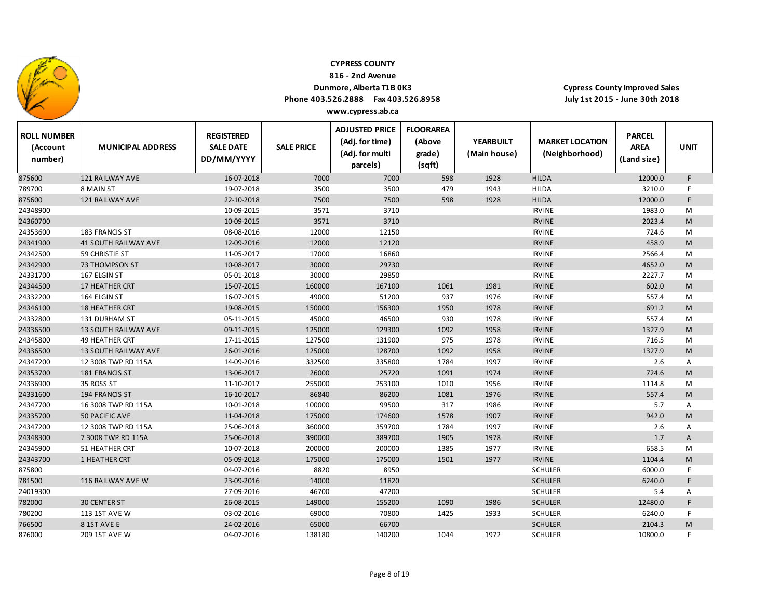

**816 ‐ 2nd Avenue**

### **Dunmore, Alberta T1B 0K3**

**Phone 403.526.2888 Fax 403.526.8958 www.cypress.ab.ca**

 $\top$ 

**Cypress County Improved Sales July 1st 2015 ‐ June 30th 2018**

Т

| <b>ROLL NUMBER</b><br>(Account<br>number) | <b>MUNICIPAL ADDRESS</b>    | <b>REGISTERED</b><br><b>SALE DATE</b><br>DD/MM/YYYY | <b>SALE PRICE</b> | <b>ADJUSTED PRICE</b><br>(Adj. for time)<br>(Adj. for multi<br>parcels) | <b>FLOORAREA</b><br>(Above<br>grade)<br>(sqft) | <b>YEARBUILT</b><br>(Main house) | <b>MARKET LOCATION</b><br>(Neighborhood) | <b>PARCEL</b><br><b>AREA</b><br>(Land size) | <b>UNIT</b> |
|-------------------------------------------|-----------------------------|-----------------------------------------------------|-------------------|-------------------------------------------------------------------------|------------------------------------------------|----------------------------------|------------------------------------------|---------------------------------------------|-------------|
| 875600                                    | <b>121 RAILWAY AVE</b>      | 16-07-2018                                          | 7000              | 7000                                                                    | 598                                            | 1928                             | <b>HILDA</b>                             | 12000.0                                     | F.          |
| 789700                                    | 8 MAIN ST                   | 19-07-2018                                          | 3500              | 3500                                                                    | 479                                            | 1943                             | <b>HILDA</b>                             | 3210.0                                      | F           |
| 875600                                    | <b>121 RAILWAY AVE</b>      | 22-10-2018                                          | 7500              | 7500                                                                    | 598                                            | 1928                             | <b>HILDA</b>                             | 12000.0                                     | F.          |
| 24348900                                  |                             | 10-09-2015                                          | 3571              | 3710                                                                    |                                                |                                  | <b>IRVINE</b>                            | 1983.0                                      | M           |
| 24360700                                  |                             | 10-09-2015                                          | 3571              | 3710                                                                    |                                                |                                  | <b>IRVINE</b>                            | 2023.4                                      | M           |
| 24353600                                  | 183 FRANCIS ST              | 08-08-2016                                          | 12000             | 12150                                                                   |                                                |                                  | <b>IRVINE</b>                            | 724.6                                       | M           |
| 24341900                                  | <b>41 SOUTH RAILWAY AVE</b> | 12-09-2016                                          | 12000             | 12120                                                                   |                                                |                                  | <b>IRVINE</b>                            | 458.9                                       | M           |
| 24342500                                  | 59 CHRISTIE ST              | 11-05-2017                                          | 17000             | 16860                                                                   |                                                |                                  | <b>IRVINE</b>                            | 2566.4                                      | M           |
| 24342900                                  | 73 THOMPSON ST              | 10-08-2017                                          | 30000             | 29730                                                                   |                                                |                                  | <b>IRVINE</b>                            | 4652.0                                      | M           |
| 24331700                                  | 167 ELGIN ST                | 05-01-2018                                          | 30000             | 29850                                                                   |                                                |                                  | <b>IRVINE</b>                            | 2227.7                                      | M           |
| 24344500                                  | 17 HEATHER CRT              | 15-07-2015                                          | 160000            | 167100                                                                  | 1061                                           | 1981                             | <b>IRVINE</b>                            | 602.0                                       | M           |
| 24332200                                  | 164 ELGIN ST                | 16-07-2015                                          | 49000             | 51200                                                                   | 937                                            | 1976                             | <b>IRVINE</b>                            | 557.4                                       | M           |
| 24346100                                  | <b>18 HEATHER CRT</b>       | 19-08-2015                                          | 150000            | 156300                                                                  | 1950                                           | 1978                             | <b>IRVINE</b>                            | 691.2                                       | M           |
| 24332800                                  | <b>131 DURHAM ST</b>        | 05-11-2015                                          | 45000             | 46500                                                                   | 930                                            | 1978                             | <b>IRVINE</b>                            | 557.4                                       | M           |
| 24336500                                  | <b>13 SOUTH RAILWAY AVE</b> | 09-11-2015                                          | 125000            | 129300                                                                  | 1092                                           | 1958                             | <b>IRVINE</b>                            | 1327.9                                      | M           |
| 24345800                                  | <b>49 HEATHER CRT</b>       | 17-11-2015                                          | 127500            | 131900                                                                  | 975                                            | 1978                             | <b>IRVINE</b>                            | 716.5                                       | M           |
| 24336500                                  | <b>13 SOUTH RAILWAY AVE</b> | 26-01-2016                                          | 125000            | 128700                                                                  | 1092                                           | 1958                             | <b>IRVINE</b>                            | 1327.9                                      | M           |
| 24347200                                  | 12 3008 TWP RD 115A         | 14-09-2016                                          | 332500            | 335800                                                                  | 1784                                           | 1997                             | <b>IRVINE</b>                            | 2.6                                         | Α           |
| 24353700                                  | 181 FRANCIS ST              | 13-06-2017                                          | 26000             | 25720                                                                   | 1091                                           | 1974                             | <b>IRVINE</b>                            | 724.6                                       | M           |
| 24336900                                  | 35 ROSS ST                  | 11-10-2017                                          | 255000            | 253100                                                                  | 1010                                           | 1956                             | <b>IRVINE</b>                            | 1114.8                                      | M           |
| 24331600                                  | <b>194 FRANCIS ST</b>       | 16-10-2017                                          | 86840             | 86200                                                                   | 1081                                           | 1976                             | <b>IRVINE</b>                            | 557.4                                       | M           |
| 24347700                                  | 16 3008 TWP RD 115A         | 10-01-2018                                          | 100000            | 99500                                                                   | 317                                            | 1986                             | <b>IRVINE</b>                            | 5.7                                         | A           |
| 24335700                                  | 50 PACIFIC AVE              | 11-04-2018                                          | 175000            | 174600                                                                  | 1578                                           | 1907                             | <b>IRVINE</b>                            | 942.0                                       | M           |
| 24347200                                  | 12 3008 TWP RD 115A         | 25-06-2018                                          | 360000            | 359700                                                                  | 1784                                           | 1997                             | <b>IRVINE</b>                            | 2.6                                         | Α           |
| 24348300                                  | 7 3008 TWP RD 115A          | 25-06-2018                                          | 390000            | 389700                                                                  | 1905                                           | 1978                             | <b>IRVINE</b>                            | 1.7                                         | A           |
| 24345900                                  | 51 HEATHER CRT              | 10-07-2018                                          | 200000            | 200000                                                                  | 1385                                           | 1977                             | <b>IRVINE</b>                            | 658.5                                       | M           |
| 24343700                                  | 1 HEATHER CRT               | 05-09-2018                                          | 175000            | 175000                                                                  | 1501                                           | 1977                             | <b>IRVINE</b>                            | 1104.4                                      | M           |
| 875800                                    |                             | 04-07-2016                                          | 8820              | 8950                                                                    |                                                |                                  | <b>SCHULER</b>                           | 6000.0                                      | F.          |
| 781500                                    | 116 RAILWAY AVE W           | 23-09-2016                                          | 14000             | 11820                                                                   |                                                |                                  | <b>SCHULER</b>                           | 6240.0                                      | F.          |
| 24019300                                  |                             | 27-09-2016                                          | 46700             | 47200                                                                   |                                                |                                  | <b>SCHULER</b>                           | 5.4                                         | Α           |
| 782000                                    | <b>30 CENTER ST</b>         | 26-08-2015                                          | 149000            | 155200                                                                  | 1090                                           | 1986                             | <b>SCHULER</b>                           | 12480.0                                     | F.          |
| 780200                                    | 113 1ST AVE W               | 03-02-2016                                          | 69000             | 70800                                                                   | 1425                                           | 1933                             | <b>SCHULER</b>                           | 6240.0                                      | F.          |
| 766500                                    | 81ST AVE E                  | 24-02-2016                                          | 65000             | 66700                                                                   |                                                |                                  | <b>SCHULER</b>                           | 2104.3                                      | M           |
| 876000                                    | 209 1ST AVE W               | 04-07-2016                                          | 138180            | 140200                                                                  | 1044                                           | 1972                             | <b>SCHULER</b>                           | 10800.0                                     | F           |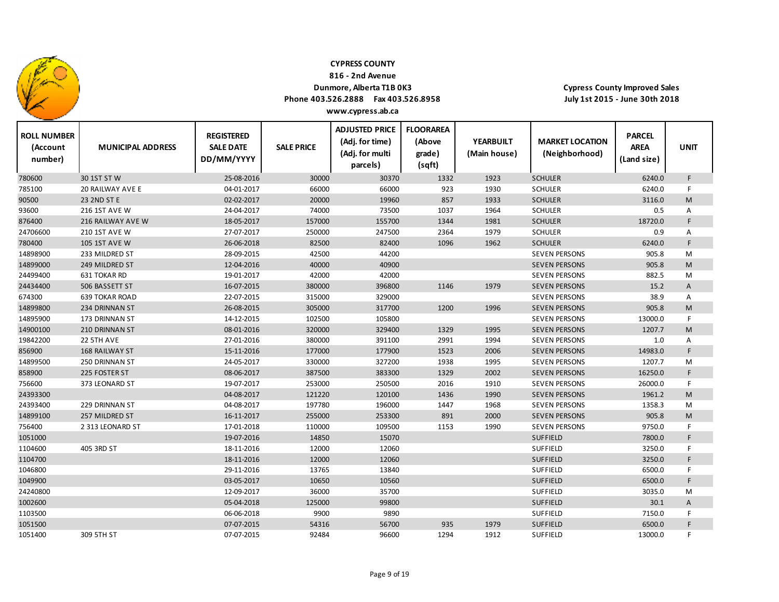

1051400

309 5TH ST

#### **CYPRESS COUNTY**

**816 ‐ 2nd Avenue**

## **Dunmore, Alberta T1B 0K3**

**Phone 403.526.2888 Fax 403.526.8958 www.cypress.ab.ca**

**Cypress County Improved Sales July 1st 2015 ‐ June 30th 2018**

| <b>ROLL NUMBER</b><br>(Account<br>number) | <b>MUNICIPAL ADDRESS</b> | <b>REGISTERED</b><br><b>SALE DATE</b><br>DD/MM/YYYY | <b>SALE PRICE</b> | <b>ADJUSTED PRICE</b><br>(Adj. for time)<br>(Adj. for multi<br>parcels) | <b>FLOORAREA</b><br>(Above<br>grade)<br>(sqft) | <b>YEARBUILT</b><br>(Main house) | <b>MARKET LOCATION</b><br>(Neighborhood) | <b>PARCEL</b><br><b>AREA</b><br>(Land size) | <b>UNIT</b> |  |
|-------------------------------------------|--------------------------|-----------------------------------------------------|-------------------|-------------------------------------------------------------------------|------------------------------------------------|----------------------------------|------------------------------------------|---------------------------------------------|-------------|--|
| 780600                                    | 30 1ST ST W              | 25-08-2016                                          | 30000             | 30370                                                                   | 1332                                           | 1923                             | <b>SCHULER</b>                           | 6240.0                                      | F.          |  |
| 785100                                    | 20 RAILWAY AVE E         | 04-01-2017                                          | 66000             | 66000                                                                   | 923                                            | 1930                             | <b>SCHULER</b>                           | 6240.0                                      | F.          |  |
| 90500                                     | 23 2ND ST E              | 02-02-2017                                          | 20000             | 19960                                                                   | 857                                            | 1933                             | <b>SCHULER</b>                           | 3116.0                                      | M           |  |
| 93600                                     | 216 1ST AVE W            | 24-04-2017                                          | 74000             | 73500                                                                   | 1037                                           | 1964                             | <b>SCHULER</b>                           | 0.5                                         | Α           |  |
| 876400                                    | 216 RAILWAY AVE W        | 18-05-2017                                          | 157000            | 155700                                                                  | 1344                                           | 1981                             | <b>SCHULER</b>                           | 18720.0                                     | F.          |  |
| 24706600                                  | <b>210 1ST AVE W</b>     | 27-07-2017                                          | 250000            | 247500                                                                  | 2364                                           | 1979                             | <b>SCHULER</b>                           | 0.9                                         | A           |  |
| 780400                                    | <b>105 1ST AVE W</b>     | 26-06-2018                                          | 82500             | 82400                                                                   | 1096                                           | 1962                             | <b>SCHULER</b>                           | 6240.0                                      | F           |  |
| 14898900                                  | 233 MILDRED ST           | 28-09-2015                                          | 42500             | 44200                                                                   |                                                |                                  | <b>SEVEN PERSONS</b>                     | 905.8                                       | M           |  |
| 14899000                                  | 249 MILDRED ST           | 12-04-2016                                          | 40000             | 40900                                                                   |                                                |                                  | <b>SEVEN PERSONS</b>                     | 905.8                                       | M           |  |
| 24499400                                  | 631 TOKAR RD             | 19-01-2017                                          | 42000             | 42000                                                                   |                                                |                                  | <b>SEVEN PERSONS</b>                     | 882.5                                       | M           |  |
| 24434400                                  | 506 BASSETT ST           | 16-07-2015                                          | 380000            | 396800                                                                  | 1146                                           | 1979                             | <b>SEVEN PERSONS</b>                     | 15.2                                        | A           |  |
| 674300                                    | <b>639 TOKAR ROAD</b>    | 22-07-2015                                          | 315000            | 329000                                                                  |                                                |                                  | <b>SEVEN PERSONS</b>                     | 38.9                                        | Α           |  |
| 14899800                                  | 234 DRINNAN ST           | 26-08-2015                                          | 305000            | 317700                                                                  | 1200                                           | 1996                             | <b>SEVEN PERSONS</b>                     | 905.8                                       | M           |  |
| 14895900                                  | 173 DRINNAN ST           | 14-12-2015                                          | 102500            | 105800                                                                  |                                                |                                  | <b>SEVEN PERSONS</b>                     | 13000.0                                     | F.          |  |
| 14900100                                  | 210 DRINNAN ST           | 08-01-2016                                          | 320000            | 329400                                                                  | 1329                                           | 1995                             | <b>SEVEN PERSONS</b>                     | 1207.7                                      | M           |  |
| 19842200                                  | 22 5TH AVE               | 27-01-2016                                          | 380000            | 391100                                                                  | 2991                                           | 1994                             | <b>SEVEN PERSONS</b>                     | 1.0                                         | Α           |  |
| 856900                                    | <b>168 RAILWAY ST</b>    | 15-11-2016                                          | 177000            | 177900                                                                  | 1523                                           | 2006                             | <b>SEVEN PERSONS</b>                     | 14983.0                                     | F           |  |
| 14899500                                  | 250 DRINNAN ST           | 24-05-2017                                          | 330000            | 327200                                                                  | 1938                                           | 1995                             | <b>SEVEN PERSONS</b>                     | 1207.7                                      | M           |  |
| 858900                                    | 225 FOSTER ST            | 08-06-2017                                          | 387500            | 383300                                                                  | 1329                                           | 2002                             | <b>SEVEN PERSONS</b>                     | 16250.0                                     | F.          |  |
| 756600                                    | 373 LEONARD ST           | 19-07-2017                                          | 253000            | 250500                                                                  | 2016                                           | 1910                             | <b>SEVEN PERSONS</b>                     | 26000.0                                     | F.          |  |
| 24393300                                  |                          | 04-08-2017                                          | 121220            | 120100                                                                  | 1436                                           | 1990                             | <b>SEVEN PERSONS</b>                     | 1961.2                                      | M           |  |
| 24393400                                  | 229 DRINNAN ST           | 04-08-2017                                          | 197780            | 196000                                                                  | 1447                                           | 1968                             | <b>SEVEN PERSONS</b>                     | 1358.3                                      | M           |  |
| 14899100                                  | 257 MILDRED ST           | 16-11-2017                                          | 255000            | 253300                                                                  | 891                                            | 2000                             | <b>SEVEN PERSONS</b>                     | 905.8                                       | M           |  |
| 756400                                    | 2 313 LEONARD ST         | 17-01-2018                                          | 110000            | 109500                                                                  | 1153                                           | 1990                             | <b>SEVEN PERSONS</b>                     | 9750.0                                      | F.          |  |
| 1051000                                   |                          | 19-07-2016                                          | 14850             | 15070                                                                   |                                                |                                  | <b>SUFFIELD</b>                          | 7800.0                                      | F.          |  |
| 1104600                                   | 405 3RD ST               | 18-11-2016                                          | 12000             | 12060                                                                   |                                                |                                  | <b>SUFFIELD</b>                          | 3250.0                                      |             |  |
| 1104700                                   |                          | 18-11-2016                                          | 12000             | 12060                                                                   |                                                |                                  | <b>SUFFIELD</b>                          | 3250.0                                      | F.          |  |
| 1046800                                   |                          | 29-11-2016                                          | 13765             | 13840                                                                   |                                                |                                  | <b>SUFFIELD</b>                          | 6500.0                                      | F           |  |
| 1049900                                   |                          | 03-05-2017                                          | 10650             | 10560                                                                   |                                                |                                  | <b>SUFFIELD</b>                          | 6500.0                                      | F.          |  |
| 24240800                                  |                          | 12-09-2017                                          | 36000             | 35700                                                                   |                                                |                                  | <b>SUFFIELD</b>                          | 3035.0                                      | M           |  |
| 1002600                                   |                          | 05-04-2018                                          | 125000            | 99800                                                                   |                                                |                                  | <b>SUFFIELD</b>                          | 30.1                                        | A           |  |
| 1103500                                   |                          | 06-06-2018                                          | 9900              | 9890                                                                    |                                                |                                  | <b>SUFFIELD</b>                          | 7150.0                                      |             |  |
| 1051500                                   |                          | 07-07-2015                                          | 54316             | 56700                                                                   | 935                                            | 1979                             | <b>SUFFIELD</b>                          | 6500.0                                      |             |  |

ST 07‐07‐2015 92484 96600 1294 1912 SUFFIELD 13000.0 F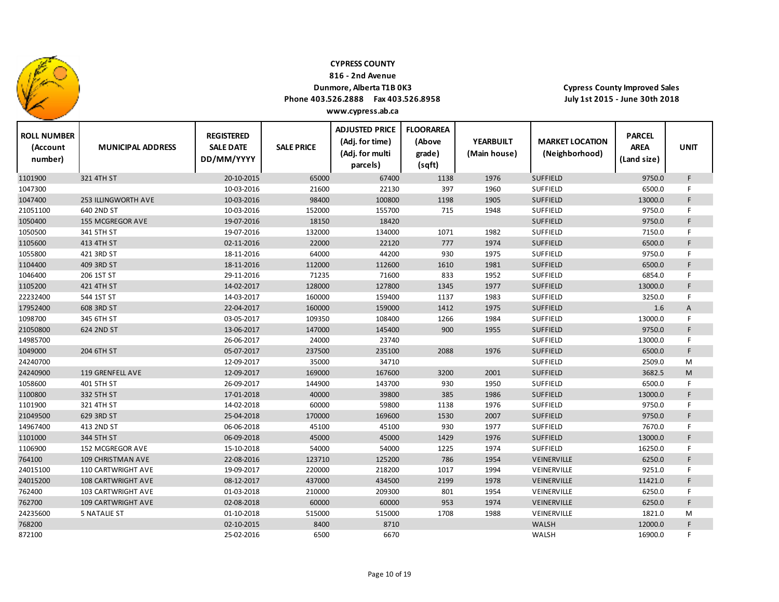

**816 ‐ 2nd Avenue**

### **Dunmore, Alberta T1B 0K3**

**Phone 403.526.2888 Fax 403.526.8958 www.cypress.ab.ca**

| <b>ROLL NUMBER</b><br>(Account<br>number) | <b>MUNICIPAL ADDRESS</b>   | <b>REGISTERED</b><br><b>SALE DATE</b><br>DD/MM/YYYY | <b>SALE PRICE</b> | <b>ADJUSTED PRICE</b><br>(Adj. for time)<br>(Adj. for multi<br>parcels) | <b>FLOORAREA</b><br>(Above<br>grade)<br>(sqft) | <b>YEARBUILT</b><br>(Main house) | <b>MARKET LOCATION</b><br>(Neighborhood) | <b>PARCEL</b><br><b>AREA</b><br>(Land size) | <b>UNIT</b> |  |
|-------------------------------------------|----------------------------|-----------------------------------------------------|-------------------|-------------------------------------------------------------------------|------------------------------------------------|----------------------------------|------------------------------------------|---------------------------------------------|-------------|--|
| 1101900                                   | 321 4TH ST                 | 20-10-2015                                          | 65000             | 67400                                                                   | 1138                                           | 1976                             | <b>SUFFIELD</b>                          | 9750.0                                      | F.          |  |
| 1047300                                   |                            | 10-03-2016                                          | 21600             | 22130                                                                   | 397                                            | 1960                             | <b>SUFFIELD</b>                          | 6500.0                                      | F           |  |
| 1047400                                   | <b>253 ILLINGWORTH AVE</b> | 10-03-2016                                          | 98400             | 100800                                                                  | 1198                                           | 1905                             | <b>SUFFIELD</b>                          | 13000.0                                     | F.          |  |
| 21051100                                  | 640 2ND ST                 | 10-03-2016                                          | 152000            | 155700                                                                  | 715                                            | 1948                             | SUFFIELD                                 | 9750.0                                      | F           |  |
| 1050400                                   | 155 MCGREGOR AVE           | 19-07-2016                                          | 18150             | 18420                                                                   |                                                |                                  | <b>SUFFIELD</b>                          | 9750.0                                      | F           |  |
| 1050500                                   | 341 5TH ST                 | 19-07-2016                                          | 132000            | 134000                                                                  | 1071                                           | 1982                             | SUFFIELD                                 | 7150.0                                      | F           |  |
| 1105600                                   | 413 4TH ST                 | 02-11-2016                                          | 22000             | 22120                                                                   | 777                                            | 1974                             | <b>SUFFIELD</b>                          | 6500.0                                      | F.          |  |
| 1055800                                   | 421 3RD ST                 | 18-11-2016                                          | 64000             | 44200                                                                   | 930                                            | 1975                             | <b>SUFFIELD</b>                          | 9750.0                                      | F           |  |
| 1104400                                   | 409 3RD ST                 | 18-11-2016                                          | 112000            | 112600                                                                  | 1610                                           | 1981                             | <b>SUFFIELD</b>                          | 6500.0                                      | F.          |  |
| 1046400                                   | 206 1ST ST                 | 29-11-2016                                          | 71235             | 71600                                                                   | 833                                            | 1952                             | SUFFIELD                                 | 6854.0                                      | F.          |  |
| 1105200                                   | 421 4TH ST                 | 14-02-2017                                          | 128000            | 127800                                                                  | 1345                                           | 1977                             | <b>SUFFIELD</b>                          | 13000.0                                     | F           |  |
| 22232400                                  | 544 1ST ST                 | 14-03-2017                                          | 160000            | 159400                                                                  | 1137                                           | 1983                             | SUFFIELD                                 | 3250.0                                      | F.          |  |
| 17952400                                  | 608 3RD ST                 | 22-04-2017                                          | 160000            | 159000                                                                  | 1412                                           | 1975                             | <b>SUFFIELD</b>                          | 1.6                                         | A           |  |
| 1098700                                   | 345 6TH ST                 | 03-05-2017                                          | 109350            | 108400                                                                  | 1266                                           | 1984                             | SUFFIELD                                 | 13000.0                                     | F.          |  |
| 21050800                                  | 624 2ND ST                 | 13-06-2017                                          | 147000            | 145400                                                                  | 900                                            | 1955                             | <b>SUFFIELD</b>                          | 9750.0                                      | F.          |  |
| 14985700                                  |                            | 26-06-2017                                          | 24000             | 23740                                                                   |                                                |                                  | <b>SUFFIELD</b>                          | 13000.0                                     | F.          |  |
| 1049000                                   | 204 6TH ST                 | 05-07-2017                                          | 237500            | 235100                                                                  | 2088                                           | 1976                             | <b>SUFFIELD</b>                          | 6500.0                                      | F           |  |
| 24240700                                  |                            | 12-09-2017                                          | 35000             | 34710                                                                   |                                                |                                  | <b>SUFFIELD</b>                          | 2509.0                                      | M           |  |
| 24240900                                  | 119 GRENFELL AVE           | 12-09-2017                                          | 169000            | 167600                                                                  | 3200                                           | 2001                             | <b>SUFFIELD</b>                          | 3682.5                                      | M           |  |
| 1058600                                   | 401 5TH ST                 | 26-09-2017                                          | 144900            | 143700                                                                  | 930                                            | 1950                             | <b>SUFFIELD</b>                          | 6500.0                                      | F           |  |
| 1100800                                   | 332 5TH ST                 | 17-01-2018                                          | 40000             | 39800                                                                   | 385                                            | 1986                             | <b>SUFFIELD</b>                          | 13000.0                                     | F           |  |
| 1101900                                   | 321 4TH ST                 | 14-02-2018                                          | 60000             | 59800                                                                   | 1138                                           | 1976                             | SUFFIELD                                 | 9750.0                                      | F.          |  |
| 21049500                                  | 629 3RD ST                 | 25-04-2018                                          | 170000            | 169600                                                                  | 1530                                           | 2007                             | <b>SUFFIELD</b>                          | 9750.0                                      | F.          |  |
| 14967400                                  | 413 2ND ST                 | 06-06-2018                                          | 45100             | 45100                                                                   | 930                                            | 1977                             | <b>SUFFIELD</b>                          | 7670.0                                      | F           |  |
| 1101000                                   | 344 5TH ST                 | 06-09-2018                                          | 45000             | 45000                                                                   | 1429                                           | 1976                             | <b>SUFFIELD</b>                          | 13000.0                                     | F.          |  |
| 1106900                                   | 152 MCGREGOR AVE           | 15-10-2018                                          | 54000             | 54000                                                                   | 1225                                           | 1974                             | <b>SUFFIELD</b>                          | 16250.0                                     | F.          |  |
| 764100                                    | 109 CHRISTMAN AVE          | 22-08-2016                                          | 123710            | 125200                                                                  | 786                                            | 1954                             | VEINERVILLE                              | 6250.0                                      | F           |  |
| 24015100                                  | 110 CARTWRIGHT AVE         | 19-09-2017                                          | 220000            | 218200                                                                  | 1017                                           | 1994                             | VEINERVILLE                              | 9251.0                                      | F.          |  |
| 24015200                                  | <b>108 CARTWRIGHT AVE</b>  | 08-12-2017                                          | 437000            | 434500                                                                  | 2199                                           | 1978                             | VEINERVILLE                              | 11421.0                                     | F           |  |
| 762400                                    | 103 CARTWRIGHT AVE         | 01-03-2018                                          | 210000            | 209300                                                                  | 801                                            | 1954                             | VEINERVILLE                              | 6250.0                                      | F.          |  |
| 762700                                    | 109 CARTWRIGHT AVE         | 02-08-2018                                          | 60000             | 60000                                                                   | 953                                            | 1974                             | VEINERVILLE                              | 6250.0                                      | F.          |  |
| 24235600                                  | <b>5 NATALIE ST</b>        | 01-10-2018                                          | 515000            | 515000                                                                  | 1708                                           | 1988                             | VEINERVILLE                              | 1821.0                                      | М           |  |
| 768200                                    |                            | 02-10-2015                                          | 8400              | 8710                                                                    |                                                |                                  | <b>WALSH</b>                             | 12000.0                                     | F           |  |
| 872100                                    |                            | 25-02-2016                                          | 6500              | 6670                                                                    |                                                |                                  | WALSH                                    | 16900.0                                     |             |  |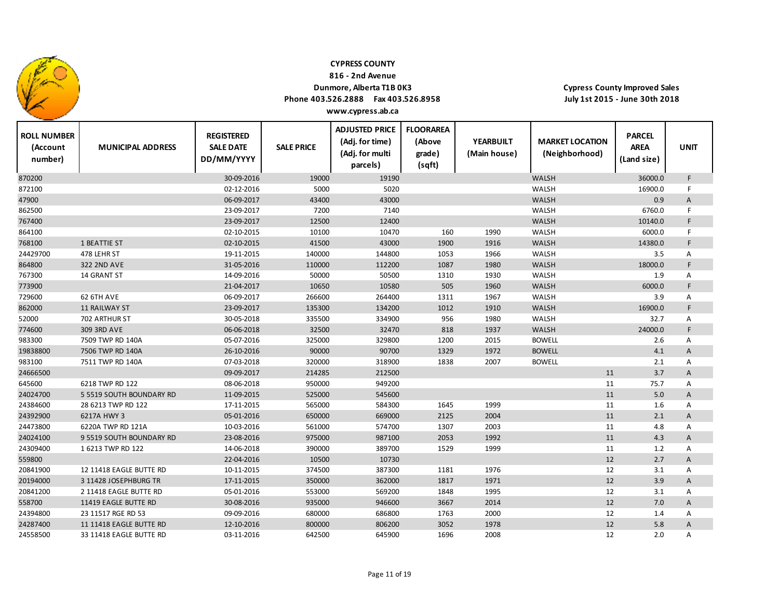

**816 ‐ 2nd Avenue**

## **Dunmore, Alberta T1B 0K3**

**Phone 403.526.2888 Fax 403.526.8958**

**Cypress County Improved Sales July 1st 2015 ‐ June 30th 2018**

| <b>ROLL NUMBER</b><br>(Account<br>number) | <b>MUNICIPAL ADDRESS</b> | <b>REGISTERED</b><br><b>SALE DATE</b><br>DD/MM/YYYY | <b>SALE PRICE</b> | <b>ADJUSTED PRICE</b><br>(Adj. for time)<br>(Adj. for multi<br>parcels) | <b>FLOORAREA</b><br>(Above<br>grade)<br>(sqft) | <b>YEARBUILT</b><br>(Main house) | <b>MARKET LOCATION</b><br>(Neighborhood) | <b>PARCEL</b><br><b>AREA</b><br>(Land size) | <b>UNIT</b>  |
|-------------------------------------------|--------------------------|-----------------------------------------------------|-------------------|-------------------------------------------------------------------------|------------------------------------------------|----------------------------------|------------------------------------------|---------------------------------------------|--------------|
| 870200                                    |                          | 30-09-2016                                          | 19000             | 19190                                                                   |                                                |                                  | <b>WALSH</b>                             | 36000.0                                     | F            |
| 872100                                    |                          | 02-12-2016                                          | 5000              | 5020                                                                    |                                                |                                  | WALSH                                    | 16900.0                                     | F            |
| 47900                                     |                          | 06-09-2017                                          | 43400             | 43000                                                                   |                                                |                                  | WALSH                                    | 0.9                                         | A            |
| 862500                                    |                          | 23-09-2017                                          | 7200              | 7140                                                                    |                                                |                                  | <b>WALSH</b>                             | 6760.0                                      | F            |
| 767400                                    |                          | 23-09-2017                                          | 12500             | 12400                                                                   |                                                |                                  | <b>WALSH</b>                             | 10140.0                                     | F            |
| 864100                                    |                          | 02-10-2015                                          | 10100             | 10470                                                                   | 160                                            | 1990                             | WALSH                                    | 6000.0                                      | F            |
| 768100                                    | 1 BEATTIE ST             | 02-10-2015                                          | 41500             | 43000                                                                   | 1900                                           | 1916                             | WALSH                                    | 14380.0                                     | F            |
| 24429700                                  | 478 LEHR ST              | 19-11-2015                                          | 140000            | 144800                                                                  | 1053                                           | 1966                             | WALSH                                    | 3.5                                         | Α            |
| 864800                                    | <b>322 2ND AVE</b>       | 31-05-2016                                          | 110000            | 112200                                                                  | 1087                                           | 1980                             | <b>WALSH</b>                             | 18000.0                                     | F            |
| 767300                                    | 14 GRANT ST              | 14-09-2016                                          | 50000             | 50500                                                                   | 1310                                           | 1930                             | WALSH                                    | 1.9                                         | Α            |
| 773900                                    |                          | 21-04-2017                                          | 10650             | 10580                                                                   | 505                                            | 1960                             | <b>WALSH</b>                             | 6000.0                                      | F            |
| 729600                                    | 62 6TH AVE               | 06-09-2017                                          | 266600            | 264400                                                                  | 1311                                           | 1967                             | WALSH                                    | 3.9                                         | Α            |
| 862000                                    | <b>11 RAILWAY ST</b>     | 23-09-2017                                          | 135300            | 134200                                                                  | 1012                                           | 1910                             | <b>WALSH</b>                             | 16900.0                                     | F            |
| 52000                                     | 702 ARTHUR ST            | 30-05-2018                                          | 335500            | 334900                                                                  | 956                                            | 1980                             | WALSH                                    | 32.7                                        | Α            |
| 774600                                    | 309 3RD AVE              | 06-06-2018                                          | 32500             | 32470                                                                   | 818                                            | 1937                             | <b>WALSH</b>                             | 24000.0                                     | F            |
| 983300                                    | 7509 TWP RD 140A         | 05-07-2016                                          | 325000            | 329800                                                                  | 1200                                           | 2015                             | <b>BOWELL</b>                            | 2.6                                         | Α            |
| 19838800                                  | 7506 TWP RD 140A         | 26-10-2016                                          | 90000             | 90700                                                                   | 1329                                           | 1972                             | <b>BOWELL</b>                            | 4.1                                         | A            |
| 983100                                    | 7511 TWP RD 140A         | 07-03-2018                                          | 320000            | 318900                                                                  | 1838                                           | 2007                             | <b>BOWELL</b>                            | 2.1                                         | A            |
| 24666500                                  |                          | 09-09-2017                                          | 214285            | 212500                                                                  |                                                |                                  | 11                                       | 3.7                                         | A            |
| 645600                                    | 6218 TWP RD 122          | 08-06-2018                                          | 950000            | 949200                                                                  |                                                |                                  | 11                                       | 75.7                                        | Α            |
| 24024700                                  | 5 5519 SOUTH BOUNDARY RD | 11-09-2015                                          | 525000            | 545600                                                                  |                                                |                                  | 11                                       | 5.0                                         | A            |
| 24384600                                  | 28 6213 TWP RD 122       | 17-11-2015                                          | 565000            | 584300                                                                  | 1645                                           | 1999                             | 11                                       | 1.6                                         | Α            |
| 24392900                                  | 6217A HWY 3              | 05-01-2016                                          | 650000            | 669000                                                                  | 2125                                           | 2004                             | 11                                       | 2.1                                         | $\mathsf{A}$ |
| 24473800                                  | 6220A TWP RD 121A        | 10-03-2016                                          | 561000            | 574700                                                                  | 1307                                           | 2003                             | 11                                       | 4.8                                         | Α            |
| 24024100                                  | 9 5519 SOUTH BOUNDARY RD | 23-08-2016                                          | 975000            | 987100                                                                  | 2053                                           | 1992                             | 11                                       | 4.3                                         | $\mathsf{A}$ |
| 24309400                                  | 1 6213 TWP RD 122        | 14-06-2018                                          | 390000            | 389700                                                                  | 1529                                           | 1999                             | 11                                       | 1.2                                         | Α            |
| 559800                                    |                          | 22-04-2016                                          | 10500             | 10730                                                                   |                                                |                                  | 12                                       | 2.7                                         | $\mathsf{A}$ |
| 20841900                                  | 12 11418 EAGLE BUTTE RD  | 10-11-2015                                          | 374500            | 387300                                                                  | 1181                                           | 1976                             | 12                                       | 3.1                                         | Α            |
| 20194000                                  | 3 11428 JOSEPHBURG TR    | 17-11-2015                                          | 350000            | 362000                                                                  | 1817                                           | 1971                             | 12                                       | 3.9                                         | A            |
| 20841200                                  | 2 11418 EAGLE BUTTE RD   | 05-01-2016                                          | 553000            | 569200                                                                  | 1848                                           | 1995                             | 12                                       | 3.1                                         | Α            |
| 558700                                    | 11419 EAGLE BUTTE RD     | 30-08-2016                                          | 935000            | 946600                                                                  | 3667                                           | 2014                             | 12                                       | 7.0                                         | A            |
| 24394800                                  | 23 11517 RGE RD 53       | 09-09-2016                                          | 680000            | 686800                                                                  | 1763                                           | 2000                             | 12                                       | 1.4                                         | Α            |
| 24287400                                  | 11 11418 EAGLE BUTTE RD  | 12-10-2016                                          | 800000            | 806200                                                                  | 3052                                           | 1978                             | 12                                       | 5.8                                         | Α            |
| 24558500                                  | 33 11418 EAGLE BUTTE RD  | 03-11-2016                                          | 642500            | 645900                                                                  | 1696                                           | 2008                             | 12                                       | 2.0                                         | Α            |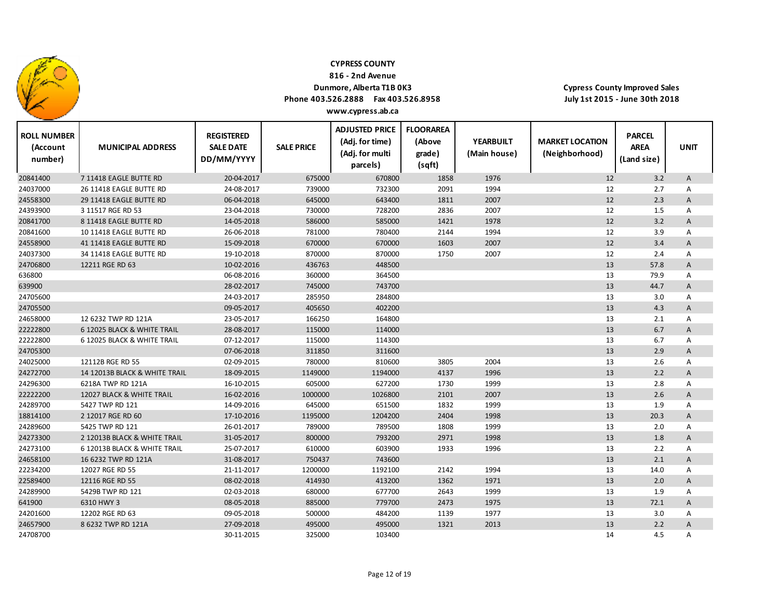

**816 ‐ 2nd Avenue**

## **Dunmore, Alberta T1B 0K3**

**Phone 403.526.2888 Fax 403.526.8958 www.cypress.ab.ca**

| <b>ROLL NUMBER</b><br>(Account<br>number) | <b>MUNICIPAL ADDRESS</b>      | <b>REGISTERED</b><br><b>SALE DATE</b><br>DD/MM/YYYY | <b>SALE PRICE</b> | <b>ADJUSTED PRICE</b><br>(Adj. for time)<br>(Adj. for multi<br>parcels) | <b>FLOORAREA</b><br>(Above<br>grade)<br>(sqft) | <b>YEARBUILT</b><br>(Main house) | <b>MARKET LOCATION</b><br>(Neighborhood) | <b>PARCEL</b><br><b>AREA</b><br>(Land size) | <b>UNIT</b>  |
|-------------------------------------------|-------------------------------|-----------------------------------------------------|-------------------|-------------------------------------------------------------------------|------------------------------------------------|----------------------------------|------------------------------------------|---------------------------------------------|--------------|
| 20841400                                  | 7 11418 EAGLE BUTTE RD        | 20-04-2017                                          | 675000            | 670800                                                                  | 1858                                           | 1976                             | 12                                       | 3.2                                         | $\mathsf{A}$ |
| 24037000                                  | 26 11418 EAGLE BUTTE RD       | 24-08-2017                                          | 739000            | 732300                                                                  | 2091                                           | 1994                             | 12                                       | 2.7                                         | A            |
| 24558300                                  | 29 11418 EAGLE BUTTE RD       | 06-04-2018                                          | 645000            | 643400                                                                  | 1811                                           | 2007                             | 12                                       | 2.3                                         | A            |
| 24393900                                  | 3 11517 RGE RD 53             | 23-04-2018                                          | 730000            | 728200                                                                  | 2836                                           | 2007                             | 12                                       | 1.5                                         | Α            |
| 20841700                                  | 8 11418 EAGLE BUTTE RD        | 14-05-2018                                          | 586000            | 585000                                                                  | 1421                                           | 1978                             | 12                                       | 3.2                                         | A            |
| 20841600                                  | 10 11418 EAGLE BUTTE RD       | 26-06-2018                                          | 781000            | 780400                                                                  | 2144                                           | 1994                             | 12                                       | 3.9                                         | Α            |
| 24558900                                  | 41 11418 EAGLE BUTTE RD       | 15-09-2018                                          | 670000            | 670000                                                                  | 1603                                           | 2007                             | 12                                       | 3.4                                         | A            |
| 24037300                                  | 34 11418 EAGLE BUTTE RD       | 19-10-2018                                          | 870000            | 870000                                                                  | 1750                                           | 2007                             | 12                                       | 2.4                                         | Α            |
| 24706800                                  | 12211 RGE RD 63               | 10-02-2016                                          | 436763            | 448500                                                                  |                                                |                                  | 13                                       | 57.8                                        | Α            |
| 636800                                    |                               | 06-08-2016                                          | 360000            | 364500                                                                  |                                                |                                  | 13                                       | 79.9                                        | Α            |
| 639900                                    |                               | 28-02-2017                                          | 745000            | 743700                                                                  |                                                |                                  | 13                                       | 44.7                                        | Α            |
| 24705600                                  |                               | 24-03-2017                                          | 285950            | 284800                                                                  |                                                |                                  | 13                                       | 3.0                                         | Α            |
| 24705500                                  |                               | 09-05-2017                                          | 405650            | 402200                                                                  |                                                |                                  | 13                                       | 4.3                                         | Α            |
| 24658000                                  | 12 6232 TWP RD 121A           | 23-05-2017                                          | 166250            | 164800                                                                  |                                                |                                  | 13                                       | 2.1                                         | A            |
| 22222800                                  | 6 12025 BLACK & WHITE TRAIL   | 28-08-2017                                          | 115000            | 114000                                                                  |                                                |                                  | 13                                       | 6.7                                         | A            |
| 22222800                                  | 6 12025 BLACK & WHITE TRAIL   | 07-12-2017                                          | 115000            | 114300                                                                  |                                                |                                  | 13                                       | 6.7                                         | Α            |
| 24705300                                  |                               | 07-06-2018                                          | 311850            | 311600                                                                  |                                                |                                  | 13                                       | 2.9                                         | A            |
| 24025000                                  | 12112B RGE RD 55              | 02-09-2015                                          | 780000            | 810600                                                                  | 3805                                           | 2004                             | 13                                       | 2.6                                         | Α            |
| 24272700                                  | 14 12013B BLACK & WHITE TRAIL | 18-09-2015                                          | 1149000           | 1194000                                                                 | 4137                                           | 1996                             | 13                                       | 2.2                                         | A            |
| 24296300                                  | 6218A TWP RD 121A             | 16-10-2015                                          | 605000            | 627200                                                                  | 1730                                           | 1999                             | 13                                       | 2.8                                         | Α            |
| 22222200                                  | 12027 BLACK & WHITE TRAIL     | 16-02-2016                                          | 1000000           | 1026800                                                                 | 2101                                           | 2007                             | 13                                       | 2.6                                         | A            |
| 24289700                                  | 5427 TWP RD 121               | 14-09-2016                                          | 645000            | 651500                                                                  | 1832                                           | 1999                             | 13                                       | 1.9                                         | Α            |
| 18814100                                  | 2 12017 RGE RD 60             | 17-10-2016                                          | 1195000           | 1204200                                                                 | 2404                                           | 1998                             | 13                                       | 20.3                                        | A            |
| 24289600                                  | 5425 TWP RD 121               | 26-01-2017                                          | 789000            | 789500                                                                  | 1808                                           | 1999                             | 13                                       | 2.0                                         | Α            |
| 24273300                                  | 2 12013B BLACK & WHITE TRAIL  | 31-05-2017                                          | 800000            | 793200                                                                  | 2971                                           | 1998                             | 13                                       | 1.8                                         | A            |
| 24273100                                  | 6 12013B BLACK & WHITE TRAIL  | 25-07-2017                                          | 610000            | 603900                                                                  | 1933                                           | 1996                             | 13                                       | 2.2                                         | Α            |
| 24658100                                  | 16 6232 TWP RD 121A           | 31-08-2017                                          | 750437            | 743600                                                                  |                                                |                                  | 13                                       | 2.1                                         | A            |
| 22234200                                  | 12027 RGE RD 55               | 21-11-2017                                          | 1200000           | 1192100                                                                 | 2142                                           | 1994                             | 13                                       | 14.0                                        | Α            |
| 22589400                                  | 12116 RGE RD 55               | 08-02-2018                                          | 414930            | 413200                                                                  | 1362                                           | 1971                             | 13                                       | 2.0                                         | A            |
| 24289900                                  | 5429B TWP RD 121              | 02-03-2018                                          | 680000            | 677700                                                                  | 2643                                           | 1999                             | 13                                       | 1.9                                         | Α            |
| 641900                                    | 6310 HWY 3                    | 08-05-2018                                          | 885000            | 779700                                                                  | 2473                                           | 1975                             | 13                                       | 72.1                                        | A            |
| 24201600                                  | 12202 RGE RD 63               | 09-05-2018                                          | 500000            | 484200                                                                  | 1139                                           | 1977                             | 13                                       | 3.0                                         | А            |
| 24657900                                  | 8 6232 TWP RD 121A            | 27-09-2018                                          | 495000            | 495000                                                                  | 1321                                           | 2013                             | 13                                       | 2.2                                         | Α            |
| 24708700                                  |                               | 30-11-2015                                          | 325000            | 103400                                                                  |                                                |                                  | 14                                       | 4.5                                         | А            |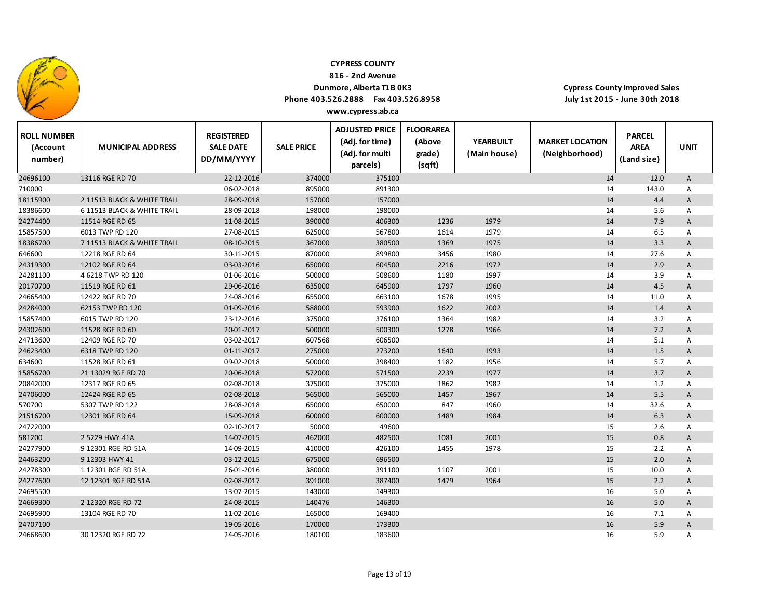

**816 ‐ 2nd Avenue**

### **Dunmore, Alberta T1B 0K3**

**Phone 403.526.2888 Fax 403.526.8958**

**Cypress County Improved Sales July 1st 2015 ‐ June 30th 2018**

| <b>ROLL NUMBER</b><br>(Account<br>number) | <b>MUNICIPAL ADDRESS</b>    | <b>REGISTERED</b><br><b>SALE DATE</b><br>DD/MM/YYYY | <b>SALE PRICE</b> | <b>ADJUSTED PRICE</b><br>(Adj. for time)<br>(Adj. for multi<br>parcels) | <b>FLOORAREA</b><br>(Above<br>grade)<br>(sqft) | <b>YEARBUILT</b><br>(Main house) | <b>MARKET LOCATION</b><br>(Neighborhood) | <b>PARCEL</b><br><b>AREA</b><br>(Land size) | <b>UNIT</b>               |
|-------------------------------------------|-----------------------------|-----------------------------------------------------|-------------------|-------------------------------------------------------------------------|------------------------------------------------|----------------------------------|------------------------------------------|---------------------------------------------|---------------------------|
| 24696100                                  | 13116 RGE RD 70             | 22-12-2016                                          | 374000            | 375100                                                                  |                                                |                                  | 14                                       | 12.0                                        | A                         |
| 710000                                    |                             | 06-02-2018                                          | 895000            | 891300                                                                  |                                                |                                  | 14                                       | 143.0                                       | Α                         |
| 18115900                                  | 2 11513 BLACK & WHITE TRAIL | 28-09-2018                                          | 157000            | 157000                                                                  |                                                |                                  | 14                                       | 4.4                                         | A                         |
| 18386600                                  | 6 11513 BLACK & WHITE TRAIL | 28-09-2018                                          | 198000            | 198000                                                                  |                                                |                                  | 14                                       | 5.6                                         | Α                         |
| 24274400                                  | 11514 RGE RD 65             | 11-08-2015                                          | 390000            | 406300                                                                  | 1236                                           | 1979                             | 14                                       | 7.9                                         | $\boldsymbol{\mathsf{A}}$ |
| 15857500                                  | 6013 TWP RD 120             | 27-08-2015                                          | 625000            | 567800                                                                  | 1614                                           | 1979                             | 14                                       | 6.5                                         | Α                         |
| 18386700                                  | 7 11513 BLACK & WHITE TRAIL | 08-10-2015                                          | 367000            | 380500                                                                  | 1369                                           | 1975                             | 14                                       | 3.3                                         | A                         |
| 646600                                    | 12218 RGE RD 64             | 30-11-2015                                          | 870000            | 899800                                                                  | 3456                                           | 1980                             | 14                                       | 27.6                                        | Α                         |
| 24319300                                  | 12102 RGE RD 64             | 03-03-2016                                          | 650000            | 604500                                                                  | 2216                                           | 1972                             | 14                                       | 2.9                                         | A                         |
| 24281100                                  | 4 6218 TWP RD 120           | 01-06-2016                                          | 500000            | 508600                                                                  | 1180                                           | 1997                             | 14                                       | 3.9                                         | Α                         |
| 20170700                                  | 11519 RGE RD 61             | 29-06-2016                                          | 635000            | 645900                                                                  | 1797                                           | 1960                             | 14                                       | 4.5                                         | A                         |
| 24665400                                  | 12422 RGE RD 70             | 24-08-2016                                          | 655000            | 663100                                                                  | 1678                                           | 1995                             | 14                                       | 11.0                                        | Α                         |
| 24284000                                  | 62153 TWP RD 120            | 01-09-2016                                          | 588000            | 593900                                                                  | 1622                                           | 2002                             | 14                                       | 1.4                                         | A                         |
| 15857400                                  | 6015 TWP RD 120             | 23-12-2016                                          | 375000            | 376100                                                                  | 1364                                           | 1982                             | 14                                       | 3.2                                         | Α                         |
| 24302600                                  | 11528 RGE RD 60             | 20-01-2017                                          | 500000            | 500300                                                                  | 1278                                           | 1966                             | 14                                       | 7.2                                         | A                         |
| 24713600                                  | 12409 RGE RD 70             | 03-02-2017                                          | 607568            | 606500                                                                  |                                                |                                  | 14                                       | 5.1                                         | Α                         |
| 24623400                                  | 6318 TWP RD 120             | 01-11-2017                                          | 275000            | 273200                                                                  | 1640                                           | 1993                             | 14                                       | 1.5                                         | A                         |
| 634600                                    | 11528 RGE RD 61             | 09-02-2018                                          | 500000            | 398400                                                                  | 1182                                           | 1956                             | 14                                       | 5.7                                         | Α                         |
| 15856700                                  | 21 13029 RGE RD 70          | 20-06-2018                                          | 572000            | 571500                                                                  | 2239                                           | 1977                             | 14                                       | 3.7                                         | A                         |
| 20842000                                  | 12317 RGE RD 65             | 02-08-2018                                          | 375000            | 375000                                                                  | 1862                                           | 1982                             | 14                                       | 1.2                                         | Α                         |
| 24706000                                  | 12424 RGE RD 65             | 02-08-2018                                          | 565000            | 565000                                                                  | 1457                                           | 1967                             | 14                                       | 5.5                                         | A                         |
| 570700                                    | 5307 TWP RD 122             | 28-08-2018                                          | 650000            | 650000                                                                  | 847                                            | 1960                             | 14                                       | 32.6                                        | Α                         |
| 21516700                                  | 12301 RGE RD 64             | 15-09-2018                                          | 600000            | 600000                                                                  | 1489                                           | 1984                             | 14                                       | 6.3                                         | A                         |
| 24722000                                  |                             | 02-10-2017                                          | 50000             | 49600                                                                   |                                                |                                  | 15                                       | 2.6                                         | Α                         |
| 581200                                    | 2 5229 HWY 41A              | 14-07-2015                                          | 462000            | 482500                                                                  | 1081                                           | 2001                             | 15                                       | 0.8                                         | A                         |
| 24277900                                  | 9 12301 RGE RD 51A          | 14-09-2015                                          | 410000            | 426100                                                                  | 1455                                           | 1978                             | 15                                       | 2.2                                         | Α                         |
| 24463200                                  | 9 12303 HWY 41              | 03-12-2015                                          | 675000            | 696500                                                                  |                                                |                                  | 15                                       | 2.0                                         | A                         |
| 24278300                                  | 1 12301 RGE RD 51A          | 26-01-2016                                          | 380000            | 391100                                                                  | 1107                                           | 2001                             | 15                                       | 10.0                                        | Α                         |
| 24277600                                  | 12 12301 RGE RD 51A         | 02-08-2017                                          | 391000            | 387400                                                                  | 1479                                           | 1964                             | 15                                       | 2.2                                         | A                         |
| 24695500                                  |                             | 13-07-2015                                          | 143000            | 149300                                                                  |                                                |                                  | 16                                       | 5.0                                         | Α                         |
| 24669300                                  | 2 12320 RGE RD 72           | 24-08-2015                                          | 140476            | 146300                                                                  |                                                |                                  | 16                                       | 5.0                                         | A                         |
| 24695900                                  | 13104 RGE RD 70             | 11-02-2016                                          | 165000            | 169400                                                                  |                                                |                                  | 16                                       | 7.1                                         | Α                         |
| 24707100                                  |                             | 19-05-2016                                          | 170000            | 173300                                                                  |                                                |                                  | 16                                       | 5.9                                         | A                         |
| 24668600                                  | 30 12320 RGE RD 72          | 24-05-2016                                          | 180100            | 183600                                                                  |                                                |                                  | 16                                       | 5.9                                         | Α                         |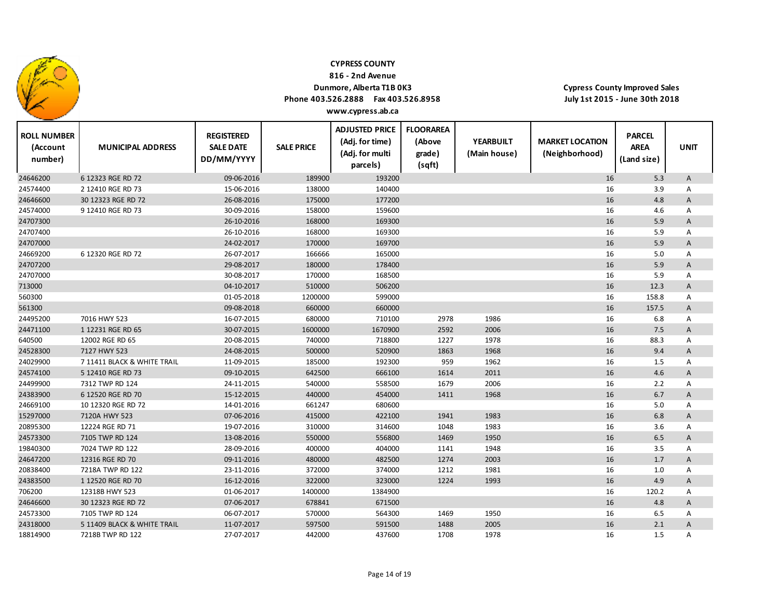

**816 ‐ 2nd Avenue**

### **Dunmore, Alberta T1B 0K3 Phone 403.526.2888 Fax 403.526.8958**

**Cypress County Improved Sales July 1st 2015 ‐ June 30th 2018**

| <b>ROLL NUMBER</b><br>(Account<br>number) | <b>MUNICIPAL ADDRESS</b>    | <b>REGISTERED</b><br><b>SALE DATE</b><br>DD/MM/YYYY | <b>SALE PRICE</b> | <b>ADJUSTED PRICE</b><br>(Adj. for time)<br>(Adj. for multi<br>parcels) | <b>FLOORAREA</b><br>(Above<br>grade)<br>(sqft) | <b>YEARBUILT</b><br>(Main house) | <b>MARKET LOCATION</b><br>(Neighborhood) | <b>PARCEL</b><br><b>AREA</b><br>(Land size) | <b>UNIT</b> |
|-------------------------------------------|-----------------------------|-----------------------------------------------------|-------------------|-------------------------------------------------------------------------|------------------------------------------------|----------------------------------|------------------------------------------|---------------------------------------------|-------------|
| 24646200                                  | 6 12323 RGE RD 72           | 09-06-2016                                          | 189900            | 193200                                                                  |                                                |                                  | 16                                       | 5.3                                         | A           |
| 24574400                                  | 2 12410 RGE RD 73           | 15-06-2016                                          | 138000            | 140400                                                                  |                                                |                                  | 16                                       | 3.9                                         | Α           |
| 24646600                                  | 30 12323 RGE RD 72          | 26-08-2016                                          | 175000            | 177200                                                                  |                                                |                                  | 16                                       | 4.8                                         | A           |
| 24574000                                  | 9 12410 RGE RD 73           | 30-09-2016                                          | 158000            | 159600                                                                  |                                                |                                  | 16                                       | 4.6                                         | Α           |
| 24707300                                  |                             | 26-10-2016                                          | 168000            | 169300                                                                  |                                                |                                  | 16                                       | 5.9                                         | Α           |
| 24707400                                  |                             | 26-10-2016                                          | 168000            | 169300                                                                  |                                                |                                  | 16                                       | 5.9                                         | Α           |
| 24707000                                  |                             | 24-02-2017                                          | 170000            | 169700                                                                  |                                                |                                  | 16                                       | 5.9                                         | A           |
| 24669200                                  | 6 12320 RGE RD 72           | 26-07-2017                                          | 166666            | 165000                                                                  |                                                |                                  | 16                                       | 5.0                                         | Α           |
| 24707200                                  |                             | 29-08-2017                                          | 180000            | 178400                                                                  |                                                |                                  | 16                                       | 5.9                                         | A           |
| 24707000                                  |                             | 30-08-2017                                          | 170000            | 168500                                                                  |                                                |                                  | 16                                       | 5.9                                         | Α           |
| 713000                                    |                             | 04-10-2017                                          | 510000            | 506200                                                                  |                                                |                                  | 16                                       | 12.3                                        | A           |
| 560300                                    |                             | 01-05-2018                                          | 1200000           | 599000                                                                  |                                                |                                  | 16                                       | 158.8                                       | Α           |
| 561300                                    |                             | 09-08-2018                                          | 660000            | 660000                                                                  |                                                |                                  | 16                                       | 157.5                                       | A           |
| 24495200                                  | 7016 HWY 523                | 16-07-2015                                          | 680000            | 710100                                                                  | 2978                                           | 1986                             | 16                                       | 6.8                                         | Α           |
| 24471100                                  | 1 12231 RGE RD 65           | 30-07-2015                                          | 1600000           | 1670900                                                                 | 2592                                           | 2006                             | 16                                       | 7.5                                         | A           |
| 640500                                    | 12002 RGE RD 65             | 20-08-2015                                          | 740000            | 718800                                                                  | 1227                                           | 1978                             | 16                                       | 88.3                                        | Α           |
| 24528300                                  | 7127 HWY 523                | 24-08-2015                                          | 500000            | 520900                                                                  | 1863                                           | 1968                             | 16                                       | 9.4                                         | Α           |
| 24029900                                  | 7 11411 BLACK & WHITE TRAIL | 11-09-2015                                          | 185000            | 192300                                                                  | 959                                            | 1962                             | 16                                       | 1.5                                         | Α           |
| 24574100                                  | 5 12410 RGE RD 73           | 09-10-2015                                          | 642500            | 666100                                                                  | 1614                                           | 2011                             | 16                                       | 4.6                                         | Α           |
| 24499900                                  | 7312 TWP RD 124             | 24-11-2015                                          | 540000            | 558500                                                                  | 1679                                           | 2006                             | 16                                       | 2.2                                         | A           |
| 24383900                                  | 6 12520 RGE RD 70           | 15-12-2015                                          | 440000            | 454000                                                                  | 1411                                           | 1968                             | 16                                       | 6.7                                         | A           |
| 24669100                                  | 10 12320 RGE RD 72          | 14-01-2016                                          | 661247            | 680600                                                                  |                                                |                                  | 16                                       | 5.0                                         | Α           |
| 15297000                                  | 7120A HWY 523               | 07-06-2016                                          | 415000            | 422100                                                                  | 1941                                           | 1983                             | 16                                       | 6.8                                         | A           |
| 20895300                                  | 12224 RGE RD 71             | 19-07-2016                                          | 310000            | 314600                                                                  | 1048                                           | 1983                             | 16                                       | 3.6                                         | Α           |
| 24573300                                  | 7105 TWP RD 124             | 13-08-2016                                          | 550000            | 556800                                                                  | 1469                                           | 1950                             | 16                                       | 6.5                                         | A           |
| 19840300                                  | 7024 TWP RD 122             | 28-09-2016                                          | 400000            | 404000                                                                  | 1141                                           | 1948                             | 16                                       | 3.5                                         | Α           |
| 24647200                                  | 12316 RGE RD 70             | 09-11-2016                                          | 480000            | 482500                                                                  | 1274                                           | 2003                             | 16                                       | 1.7                                         | A           |
| 20838400                                  | 7218A TWP RD 122            | 23-11-2016                                          | 372000            | 374000                                                                  | 1212                                           | 1981                             | 16                                       | 1.0                                         | Α           |
| 24383500                                  | 1 12520 RGE RD 70           | 16-12-2016                                          | 322000            | 323000                                                                  | 1224                                           | 1993                             | 16                                       | 4.9                                         | A           |
| 706200                                    | 12318B HWY 523              | 01-06-2017                                          | 1400000           | 1384900                                                                 |                                                |                                  | 16                                       | 120.2                                       | Α           |
| 24646600                                  | 30 12323 RGE RD 72          | 07-06-2017                                          | 678841            | 671500                                                                  |                                                |                                  | 16                                       | 4.8                                         | A           |
| 24573300                                  | 7105 TWP RD 124             | 06-07-2017                                          | 570000            | 564300                                                                  | 1469                                           | 1950                             | 16                                       | 6.5                                         | А           |
| 24318000                                  | 5 11409 BLACK & WHITE TRAIL | 11-07-2017                                          | 597500            | 591500                                                                  | 1488                                           | 2005                             | 16                                       | 2.1                                         | A           |
| 18814900                                  | 7218B TWP RD 122            | 27-07-2017                                          | 442000            | 437600                                                                  | 1708                                           | 1978                             | 16                                       | 1.5                                         | Α           |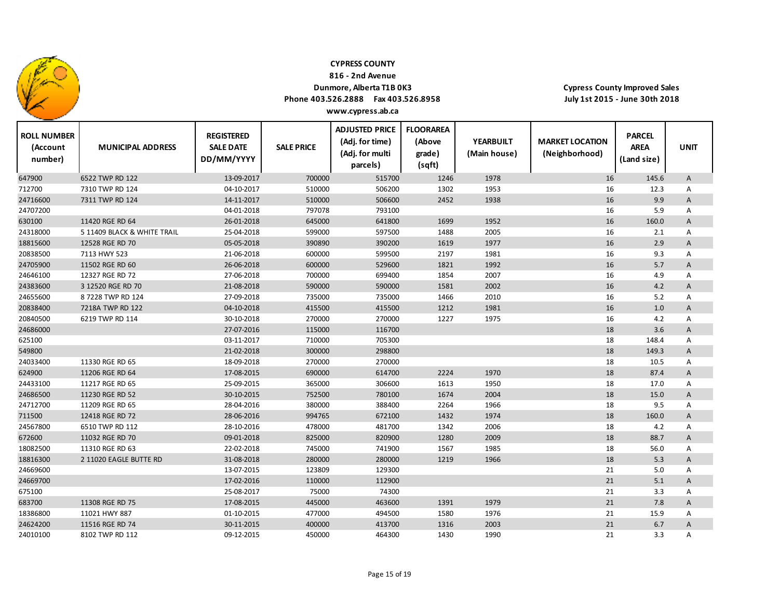

**816 ‐ 2nd Avenue**

## **Dunmore, Alberta T1B 0K3**

 $\top$ 

**Phone 403.526.2888 Fax 403.526.8958 www.cypress.ab.ca**

| <b>ROLL NUMBER</b><br>(Account<br>number) | <b>MUNICIPAL ADDRESS</b>    | <b>REGISTERED</b><br><b>SALE DATE</b><br>DD/MM/YYYY | <b>SALE PRICE</b> | <b>ADJUSTED PRICE</b><br>(Adj. for time)<br>(Adj. for multi<br>parcels) | <b>FLOORAREA</b><br>(Above<br>grade)<br>(sqft) | <b>YEARBUILT</b><br>(Main house) | <b>MARKET LOCATION</b><br>(Neighborhood) | <b>PARCEL</b><br><b>AREA</b><br>(Land size) | <b>UNIT</b>  |
|-------------------------------------------|-----------------------------|-----------------------------------------------------|-------------------|-------------------------------------------------------------------------|------------------------------------------------|----------------------------------|------------------------------------------|---------------------------------------------|--------------|
| 647900                                    | 6522 TWP RD 122             | 13-09-2017                                          | 700000            | 515700                                                                  | 1246                                           | 1978                             | 16                                       | 145.6                                       | A            |
| 712700                                    | 7310 TWP RD 124             | 04-10-2017                                          | 510000            | 506200                                                                  | 1302                                           | 1953                             | 16                                       | 12.3                                        | A            |
| 24716600                                  | 7311 TWP RD 124             | 14-11-2017                                          | 510000            | 506600                                                                  | 2452                                           | 1938                             | 16                                       | 9.9                                         | A            |
| 24707200                                  |                             | 04-01-2018                                          | 797078            | 793100                                                                  |                                                |                                  | 16                                       | 5.9                                         | Α            |
| 630100                                    | 11420 RGE RD 64             | 26-01-2018                                          | 645000            | 641800                                                                  | 1699                                           | 1952                             | 16                                       | 160.0                                       | A            |
| 24318000                                  | 5 11409 BLACK & WHITE TRAIL | 25-04-2018                                          | 599000            | 597500                                                                  | 1488                                           | 2005                             | 16                                       | 2.1                                         | A            |
| 18815600                                  | 12528 RGE RD 70             | 05-05-2018                                          | 390890            | 390200                                                                  | 1619                                           | 1977                             | 16                                       | 2.9                                         | A            |
| 20838500                                  | 7113 HWY 523                | 21-06-2018                                          | 600000            | 599500                                                                  | 2197                                           | 1981                             | 16                                       | 9.3                                         | Α            |
| 24705900                                  | 11502 RGE RD 60             | 26-06-2018                                          | 600000            | 529600                                                                  | 1821                                           | 1992                             | 16                                       | 5.7                                         | A            |
| 24646100                                  | 12327 RGE RD 72             | 27-06-2018                                          | 700000            | 699400                                                                  | 1854                                           | 2007                             | 16                                       | 4.9                                         | A            |
| 24383600                                  | 3 12520 RGE RD 70           | 21-08-2018                                          | 590000            | 590000                                                                  | 1581                                           | 2002                             | 16                                       | 4.2                                         | A            |
| 24655600                                  | 87228 TWP RD 124            | 27-09-2018                                          | 735000            | 735000                                                                  | 1466                                           | 2010                             | 16                                       | 5.2                                         | Α            |
| 20838400                                  | 7218A TWP RD 122            | 04-10-2018                                          | 415500            | 415500                                                                  | 1212                                           | 1981                             | 16                                       | 1.0                                         | A            |
| 20840500                                  | 6219 TWP RD 114             | 30-10-2018                                          | 270000            | 270000                                                                  | 1227                                           | 1975                             | 16                                       | 4.2                                         | Α            |
| 24686000                                  |                             | 27-07-2016                                          | 115000            | 116700                                                                  |                                                |                                  | 18                                       | 3.6                                         | A            |
| 625100                                    |                             | 03-11-2017                                          | 710000            | 705300                                                                  |                                                |                                  | 18                                       | 148.4                                       | Α            |
| 549800                                    |                             | 21-02-2018                                          | 300000            | 298800                                                                  |                                                |                                  | 18                                       | 149.3                                       | A            |
| 24033400                                  | 11330 RGE RD 65             | 18-09-2018                                          | 270000            | 270000                                                                  |                                                |                                  | 18                                       | 10.5                                        | Α            |
| 624900                                    | 11206 RGE RD 64             | 17-08-2015                                          | 690000            | 614700                                                                  | 2224                                           | 1970                             | 18                                       | 87.4                                        | A            |
| 24433100                                  | 11217 RGE RD 65             | 25-09-2015                                          | 365000            | 306600                                                                  | 1613                                           | 1950                             | 18                                       | 17.0                                        | Α            |
| 24686500                                  | 11230 RGE RD 52             | 30-10-2015                                          | 752500            | 780100                                                                  | 1674                                           | 2004                             | 18                                       | 15.0                                        | A            |
| 24712700                                  | 11209 RGE RD 65             | 28-04-2016                                          | 380000            | 388400                                                                  | 2264                                           | 1966                             | 18                                       | 9.5                                         | Α            |
| 711500                                    | 12418 RGE RD 72             | 28-06-2016                                          | 994765            | 672100                                                                  | 1432                                           | 1974                             | 18                                       | 160.0                                       | $\mathsf{A}$ |
| 24567800                                  | 6510 TWP RD 112             | 28-10-2016                                          | 478000            | 481700                                                                  | 1342                                           | 2006                             | 18                                       | 4.2                                         | Α            |
| 672600                                    | 11032 RGE RD 70             | 09-01-2018                                          | 825000            | 820900                                                                  | 1280                                           | 2009                             | 18                                       | 88.7                                        | A            |
| 18082500                                  | 11310 RGE RD 63             | 22-02-2018                                          | 745000            | 741900                                                                  | 1567                                           | 1985                             | 18                                       | 56.0                                        | Α            |
| 18816300                                  | 2 11020 EAGLE BUTTE RD      | 31-08-2018                                          | 280000            | 280000                                                                  | 1219                                           | 1966                             | 18                                       | 5.3                                         | A            |
| 24669600                                  |                             | 13-07-2015                                          | 123809            | 129300                                                                  |                                                |                                  | 21                                       | 5.0                                         | Α            |
| 24669700                                  |                             | 17-02-2016                                          | 110000            | 112900                                                                  |                                                |                                  | 21                                       | 5.1                                         | A            |
| 675100                                    |                             | 25-08-2017                                          | 75000             | 74300                                                                   |                                                |                                  | 21                                       | 3.3                                         | A            |
| 683700                                    | 11308 RGE RD 75             | 17-08-2015                                          | 445000            | 463600                                                                  | 1391                                           | 1979                             | 21                                       | 7.8                                         | A            |
| 18386800                                  | 11021 HWY 887               | 01-10-2015                                          | 477000            | 494500                                                                  | 1580                                           | 1976                             | 21                                       | 15.9                                        | Α            |
| 24624200                                  | 11516 RGE RD 74             | 30-11-2015                                          | 400000            | 413700                                                                  | 1316                                           | 2003                             | 21                                       | 6.7                                         | A            |
| 24010100                                  | 8102 TWP RD 112             | 09-12-2015                                          | 450000            | 464300                                                                  | 1430                                           | 1990                             | 21                                       | 3.3                                         | A            |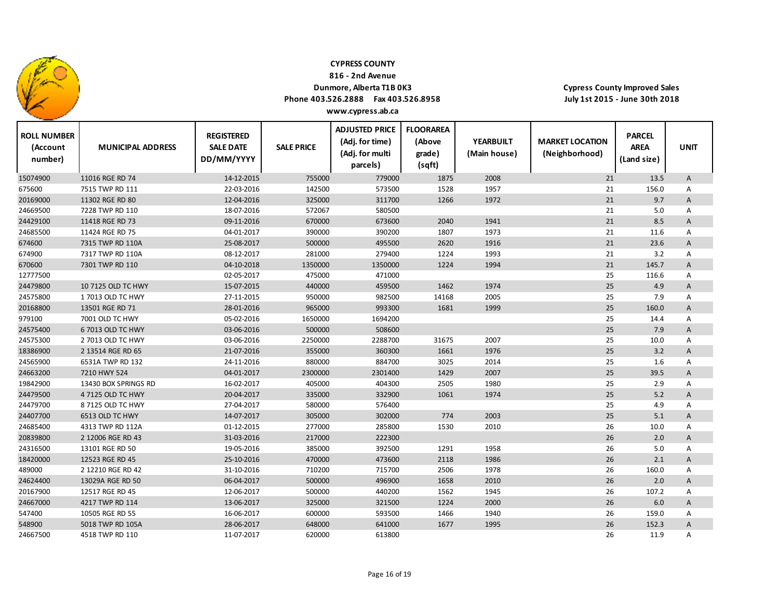

**816 ‐ 2nd Avenue**

## **Dunmore, Alberta T1B 0K3**

 $\top$ 

**Phone 403.526.2888 Fax 403.526.8958 www.cypress.ab.ca**

| <b>ROLL NUMBER</b><br>(Account<br>number) | <b>MUNICIPAL ADDRESS</b> | <b>REGISTERED</b><br><b>SALE DATE</b><br>DD/MM/YYYY | <b>SALE PRICE</b> | <b>ADJUSTED PRICE</b><br>(Adj. for time)<br>(Adj. for multi<br>parcels) | <b>FLOORAREA</b><br>(Above<br>grade)<br>(sqft) | <b>YEARBUILT</b><br>(Main house) | <b>MARKET LOCATION</b><br>(Neighborhood) | <b>PARCEL</b><br><b>AREA</b><br>(Land size) | <b>UNIT</b>  |
|-------------------------------------------|--------------------------|-----------------------------------------------------|-------------------|-------------------------------------------------------------------------|------------------------------------------------|----------------------------------|------------------------------------------|---------------------------------------------|--------------|
| 15074900                                  | 11016 RGE RD 74          | 14-12-2015                                          | 755000            | 779000                                                                  | 1875                                           | 2008                             | 21                                       | 13.5                                        | A            |
| 675600                                    | 7515 TWP RD 111          | 22-03-2016                                          | 142500            | 573500                                                                  | 1528                                           | 1957                             | 21                                       | 156.0                                       | Α            |
| 20169000                                  | 11302 RGE RD 80          | 12-04-2016                                          | 325000            | 311700                                                                  | 1266                                           | 1972                             | 21                                       | 9.7                                         | $\mathsf{A}$ |
| 24669500                                  | 7228 TWP RD 110          | 18-07-2016                                          | 572067            | 580500                                                                  |                                                |                                  | 21                                       | 5.0                                         | Α            |
| 24429100                                  | 11418 RGE RD 73          | 09-11-2016                                          | 670000            | 673600                                                                  | 2040                                           | 1941                             | 21                                       | 8.5                                         | A            |
| 24685500                                  | 11424 RGE RD 75          | 04-01-2017                                          | 390000            | 390200                                                                  | 1807                                           | 1973                             | 21                                       | 11.6                                        | Α            |
| 674600                                    | 7315 TWP RD 110A         | 25-08-2017                                          | 500000            | 495500                                                                  | 2620                                           | 1916                             | 21                                       | 23.6                                        | Α            |
| 674900                                    | 7317 TWP RD 110A         | 08-12-2017                                          | 281000            | 279400                                                                  | 1224                                           | 1993                             | 21                                       | 3.2                                         | Α            |
| 670600                                    | 7301 TWP RD 110          | 04-10-2018                                          | 1350000           | 1350000                                                                 | 1224                                           | 1994                             | 21                                       | 145.7                                       | A            |
| 12777500                                  |                          | 02-05-2017                                          | 475000            | 471000                                                                  |                                                |                                  | 25                                       | 116.6                                       | Α            |
| 24479800                                  | 10 7125 OLD TC HWY       | 15-07-2015                                          | 440000            | 459500                                                                  | 1462                                           | 1974                             | 25                                       | 4.9                                         | A            |
| 24575800                                  | 17013 OLD TC HWY         | 27-11-2015                                          | 950000            | 982500                                                                  | 14168                                          | 2005                             | 25                                       | 7.9                                         | Α            |
| 20168800                                  | 13501 RGE RD 71          | 28-01-2016                                          | 965000            | 993300                                                                  | 1681                                           | 1999                             | 25                                       | 160.0                                       | Α            |
| 979100                                    | 7001 OLD TC HWY          | 05-02-2016                                          | 1650000           | 1694200                                                                 |                                                |                                  | 25                                       | 14.4                                        | Α            |
| 24575400                                  | 6 7013 OLD TC HWY        | 03-06-2016                                          | 500000            | 508600                                                                  |                                                |                                  | 25                                       | 7.9                                         | A            |
| 24575300                                  | 2 7013 OLD TC HWY        | 03-06-2016                                          | 2250000           | 2288700                                                                 | 31675                                          | 2007                             | 25                                       | 10.0                                        | Α            |
| 18386900                                  | 2 13514 RGE RD 65        | 21-07-2016                                          | 355000            | 360300                                                                  | 1661                                           | 1976                             | 25                                       | 3.2                                         | A            |
| 24565900                                  | 6531A TWP RD 132         | 24-11-2016                                          | 880000            | 884700                                                                  | 3025                                           | 2014                             | 25                                       | 1.6                                         | Α            |
| 24663200                                  | 7210 HWY 524             | 04-01-2017                                          | 2300000           | 2301400                                                                 | 1429                                           | 2007                             | 25                                       | 39.5                                        | A            |
| 19842900                                  | 13430 BOX SPRINGS RD     | 16-02-2017                                          | 405000            | 404300                                                                  | 2505                                           | 1980                             | 25                                       | 2.9                                         | Α            |
| 24479500                                  | 4 7125 OLD TC HWY        | 20-04-2017                                          | 335000            | 332900                                                                  | 1061                                           | 1974                             | 25                                       | 5.2                                         | $\mathsf{A}$ |
| 24479700                                  | 8 7125 OLD TC HWY        | 27-04-2017                                          | 580000            | 576400                                                                  |                                                |                                  | 25                                       | 4.9                                         | A            |
| 24407700                                  | 6513 OLD TC HWY          | 14-07-2017                                          | 305000            | 302000                                                                  | 774                                            | 2003                             | 25                                       | 5.1                                         | Α            |
| 24685400                                  | 4313 TWP RD 112A         | 01-12-2015                                          | 277000            | 285800                                                                  | 1530                                           | 2010                             | 26                                       | 10.0                                        | Α            |
| 20839800                                  | 2 12006 RGE RD 43        | 31-03-2016                                          | 217000            | 222300                                                                  |                                                |                                  | 26                                       | 2.0                                         | Α            |
| 24316500                                  | 13101 RGE RD 50          | 19-05-2016                                          | 385000            | 392500                                                                  | 1291                                           | 1958                             | 26                                       | 5.0                                         | Α            |
| 18420000                                  | 12523 RGE RD 45          | 25-10-2016                                          | 470000            | 473600                                                                  | 2118                                           | 1986                             | 26                                       | 2.1                                         | $\mathsf{A}$ |
| 489000                                    | 2 12210 RGE RD 42        | 31-10-2016                                          | 710200            | 715700                                                                  | 2506                                           | 1978                             | 26                                       | 160.0                                       | Α            |
| 24624400                                  | 13029A RGE RD 50         | 06-04-2017                                          | 500000            | 496900                                                                  | 1658                                           | 2010                             | 26                                       | 2.0                                         | $\mathsf{A}$ |
| 20167900                                  | 12517 RGE RD 45          | 12-06-2017                                          | 500000            | 440200                                                                  | 1562                                           | 1945                             | 26                                       | 107.2                                       | Α            |
| 24667000                                  | 4217 TWP RD 114          | 13-06-2017                                          | 325000            | 321500                                                                  | 1224                                           | 2000                             | 26                                       | 6.0                                         | Α            |
| 547400                                    | 10505 RGE RD 55          | 16-06-2017                                          | 600000            | 593500                                                                  | 1466                                           | 1940                             | 26                                       | 159.0                                       | Α            |
| 548900                                    | 5018 TWP RD 105A         | 28-06-2017                                          | 648000            | 641000                                                                  | 1677                                           | 1995                             | 26                                       | 152.3                                       | Α            |
| 24667500                                  | 4518 TWP RD 110          | 11-07-2017                                          | 620000            | 613800                                                                  |                                                |                                  | 26                                       | 11.9                                        | A            |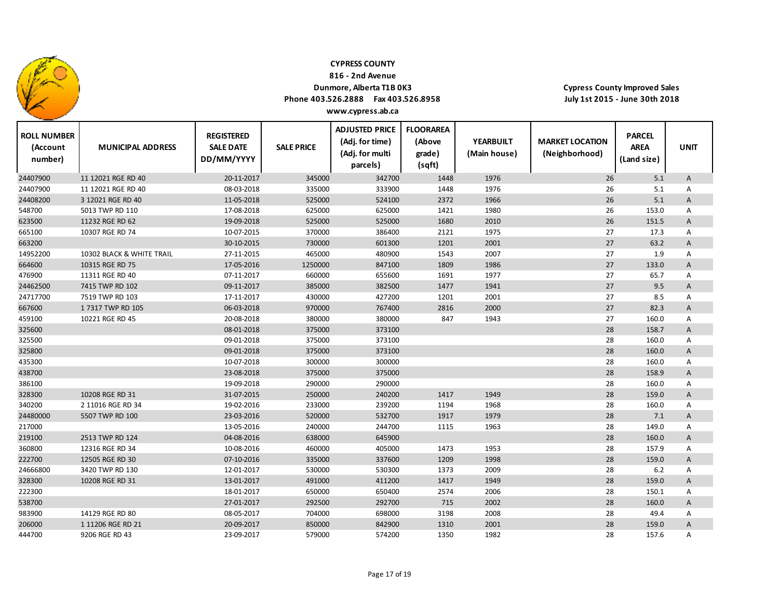

**816 ‐ 2nd Avenue**

## **Dunmore, Alberta T1B 0K3**

 $\top$ 

**Phone 403.526.2888 Fax 403.526.8958 www.cypress.ab.ca**

**Cypress County Improved Sales July 1st 2015 ‐ June 30th 2018**

Т

| <b>ROLL NUMBER</b><br>(Account<br>number) | <b>MUNICIPAL ADDRESS</b>                 | <b>REGISTERED</b><br><b>SALE DATE</b><br>DD/MM/YYYY | <b>SALE PRICE</b> | <b>ADJUSTED PRICE</b><br>(Adj. for time)<br>(Adj. for multi | <b>FLOORAREA</b><br>(Above<br>grade) | <b>YEARBUILT</b><br>(Main house) | <b>MARKET LOCATION</b><br>(Neighborhood) | <b>PARCEL</b><br><b>AREA</b><br>(Land size) | <b>UNIT</b>       |  |
|-------------------------------------------|------------------------------------------|-----------------------------------------------------|-------------------|-------------------------------------------------------------|--------------------------------------|----------------------------------|------------------------------------------|---------------------------------------------|-------------------|--|
|                                           |                                          |                                                     | 345000            | parcels)<br>342700                                          | (sqft)                               | 1976                             |                                          |                                             |                   |  |
| 24407900<br>24407900                      | 11 12021 RGE RD 40<br>11 12021 RGE RD 40 | 20-11-2017<br>08-03-2018                            | 335000            | 333900                                                      | 1448<br>1448                         | 1976                             | 26<br>26                                 | 5.1                                         | A                 |  |
| 24408200                                  | 3 12021 RGE RD 40                        | 11-05-2018                                          | 525000            | 524100                                                      | 2372                                 | 1966                             | 26                                       | 5.1<br>5.1                                  | Α                 |  |
|                                           |                                          |                                                     |                   | 625000                                                      |                                      |                                  |                                          |                                             | A                 |  |
| 548700                                    | 5013 TWP RD 110                          | 17-08-2018<br>19-09-2018                            | 625000            | 525000                                                      | 1421                                 | 1980                             | 26<br>26                                 | 153.0                                       | Α                 |  |
| 623500                                    | 11232 RGE RD 62                          |                                                     | 525000            |                                                             | 1680                                 | 2010                             |                                          | 151.5                                       | A                 |  |
| 665100                                    | 10307 RGE RD 74                          | 10-07-2015                                          | 370000            | 386400                                                      | 2121                                 | 1975                             | 27                                       | 17.3                                        | A                 |  |
| 663200                                    |                                          | 30-10-2015                                          | 730000<br>465000  | 601300                                                      | 1201                                 | 2001<br>2007                     | 27                                       | 63.2                                        | A                 |  |
| 14952200                                  | 10302 BLACK & WHITE TRAIL                | 27-11-2015<br>17-05-2016                            | 1250000           | 480900<br>847100                                            | 1543<br>1809                         | 1986                             | 27<br>27                                 | 1.9<br>133.0                                | $\overline{A}$    |  |
| 664600<br>476900                          | 10315 RGE RD 75                          | 07-11-2017                                          | 660000            | 655600                                                      | 1691                                 | 1977                             |                                          | 65.7                                        | A                 |  |
|                                           | 11311 RGE RD 40                          |                                                     | 385000            | 382500                                                      |                                      | 1941                             | 27<br>27                                 | 9.5                                         | Α                 |  |
| 24462500                                  | 7415 TWP RD 102                          | 09-11-2017                                          |                   |                                                             | 1477                                 |                                  |                                          |                                             | A                 |  |
| 24717700                                  | 7519 TWP RD 103                          | 17-11-2017                                          | 430000            | 427200                                                      | 1201                                 | 2001<br>2000                     | 27<br>27                                 | 8.5                                         | A                 |  |
| 667600                                    | 17317 TWP RD 105<br>10221 RGE RD 45      | 06-03-2018<br>20-08-2018                            | 970000<br>380000  | 767400<br>380000                                            | 2816<br>847                          | 1943                             |                                          | 82.3<br>160.0                               | A                 |  |
| 459100<br>325600                          |                                          | 08-01-2018                                          | 375000            | 373100                                                      |                                      |                                  | 27<br>28                                 | 158.7                                       | Α<br>$\mathsf{A}$ |  |
| 325500                                    |                                          | 09-01-2018                                          | 375000            | 373100                                                      |                                      |                                  | 28                                       | 160.0                                       | Α                 |  |
| 325800                                    |                                          | 09-01-2018                                          | 375000            | 373100                                                      |                                      |                                  | 28                                       | 160.0                                       | A                 |  |
| 435300                                    |                                          | 10-07-2018                                          | 300000            | 300000                                                      |                                      |                                  | 28                                       | 160.0                                       | Α                 |  |
| 438700                                    |                                          | 23-08-2018                                          | 375000            | 375000                                                      |                                      |                                  | 28                                       | 158.9                                       | A                 |  |
| 386100                                    |                                          | 19-09-2018                                          | 290000            | 290000                                                      |                                      |                                  | 28                                       | 160.0                                       | Α                 |  |
| 328300                                    | 10208 RGE RD 31                          | 31-07-2015                                          | 250000            | 240200                                                      | 1417                                 | 1949                             | 28                                       | 159.0                                       | A                 |  |
| 340200                                    | 2 11016 RGE RD 34                        | 19-02-2016                                          | 233000            | 239200                                                      | 1194                                 | 1968                             | 28                                       | 160.0                                       | Α                 |  |
| 24480000                                  | 5507 TWP RD 100                          | 23-03-2016                                          | 520000            | 532700                                                      | 1917                                 | 1979                             | 28                                       | 7.1                                         | A                 |  |
| 217000                                    |                                          | 13-05-2016                                          | 240000            | 244700                                                      | 1115                                 | 1963                             | 28                                       | 149.0                                       | Α                 |  |
| 219100                                    | 2513 TWP RD 124                          | 04-08-2016                                          | 638000            | 645900                                                      |                                      |                                  | 28                                       | 160.0                                       | A                 |  |
| 360800                                    | 12316 RGE RD 34                          | 10-08-2016                                          | 460000            | 405000                                                      | 1473                                 | 1953                             | 28                                       | 157.9                                       | Α                 |  |
| 222700                                    | 12505 RGE RD 30                          | 07-10-2016                                          | 335000            | 337600                                                      | 1209                                 | 1998                             | 28                                       | 159.0                                       | A                 |  |
| 24666800                                  | 3420 TWP RD 130                          | 12-01-2017                                          | 530000            | 530300                                                      | 1373                                 | 2009                             | 28                                       | 6.2                                         | Α                 |  |
| 328300                                    | 10208 RGE RD 31                          | 13-01-2017                                          | 491000            | 411200                                                      | 1417                                 | 1949                             | 28                                       | 159.0                                       | A                 |  |
| 222300                                    |                                          | 18-01-2017                                          | 650000            | 650400                                                      | 2574                                 | 2006                             | 28                                       | 150.1                                       | Α                 |  |
| 538700                                    |                                          | 27-01-2017                                          | 292500            | 292700                                                      | 715                                  | 2002                             | 28                                       | 160.0                                       | A                 |  |
| 983900                                    | 14129 RGE RD 80                          | 08-05-2017                                          | 704000            | 698000                                                      | 3198                                 | 2008                             | 28                                       | 49.4                                        | Α                 |  |
| 206000                                    | 1 11206 RGE RD 21                        | 20-09-2017                                          | 850000            | 842900                                                      | 1310                                 | 2001                             | 28                                       | 159.0                                       | A                 |  |
| 444700                                    | 9206 RGE RD 43                           | 23-09-2017                                          | 579000            | 574200                                                      | 1350                                 | 1982                             | 28                                       | 157.6                                       | A                 |  |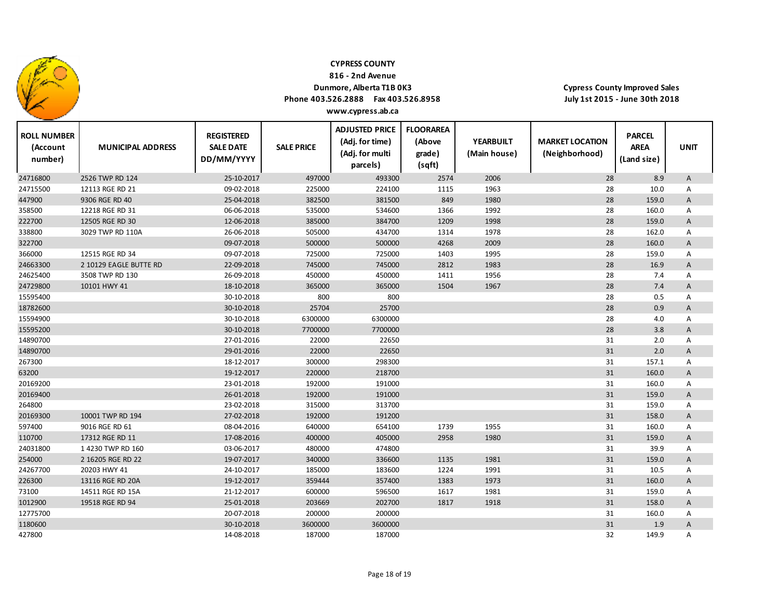

**816 ‐ 2nd Avenue**

## **Dunmore, Alberta T1B 0K3**

**Phone 403.526.2888 Fax 403.526.8958**

**Cypress County Improved Sales July 1st 2015 ‐ June 30th 2018**

| <b>ROLL NUMBER</b><br>(Account<br>number) | <b>MUNICIPAL ADDRESS</b> | <b>REGISTERED</b><br><b>SALE DATE</b><br>DD/MM/YYYY | <b>SALE PRICE</b> | <b>ADJUSTED PRICE</b><br>(Adj. for time)<br>(Adj. for multi<br>parcels) | <b>FLOORAREA</b><br>(Above<br>grade)<br>(sqft) | <b>YEARBUILT</b><br>(Main house) | <b>MARKET LOCATION</b><br>(Neighborhood) | <b>PARCEL</b><br><b>AREA</b><br>(Land size) | <b>UNIT</b>               |
|-------------------------------------------|--------------------------|-----------------------------------------------------|-------------------|-------------------------------------------------------------------------|------------------------------------------------|----------------------------------|------------------------------------------|---------------------------------------------|---------------------------|
| 24716800                                  | 2526 TWP RD 124          | 25-10-2017                                          | 497000            | 493300                                                                  | 2574                                           | 2006                             | 28                                       | 8.9                                         | A                         |
| 24715500                                  | 12113 RGE RD 21          | 09-02-2018                                          | 225000            | 224100                                                                  | 1115                                           | 1963                             | 28                                       | 10.0                                        | Α                         |
| 447900                                    | 9306 RGE RD 40           | 25-04-2018                                          | 382500            | 381500                                                                  | 849                                            | 1980                             | 28                                       | 159.0                                       | A                         |
| 358500                                    | 12218 RGE RD 31          | 06-06-2018                                          | 535000            | 534600                                                                  | 1366                                           | 1992                             | 28                                       | 160.0                                       | Α                         |
| 222700                                    | 12505 RGE RD 30          | 12-06-2018                                          | 385000            | 384700                                                                  | 1209                                           | 1998                             | 28                                       | 159.0                                       | A                         |
| 338800                                    | 3029 TWP RD 110A         | 26-06-2018                                          | 505000            | 434700                                                                  | 1314                                           | 1978                             | 28                                       | 162.0                                       | Α                         |
| 322700                                    |                          | 09-07-2018                                          | 500000            | 500000                                                                  | 4268                                           | 2009                             | 28                                       | 160.0                                       | A                         |
| 366000                                    | 12515 RGE RD 34          | 09-07-2018                                          | 725000            | 725000                                                                  | 1403                                           | 1995                             | 28                                       | 159.0                                       | Α                         |
| 24663300                                  | 2 10129 EAGLE BUTTE RD   | 22-09-2018                                          | 745000            | 745000                                                                  | 2812                                           | 1983                             | 28                                       | 16.9                                        | A                         |
| 24625400                                  | 3508 TWP RD 130          | 26-09-2018                                          | 450000            | 450000                                                                  | 1411                                           | 1956                             | 28                                       | 7.4                                         | Α                         |
| 24729800                                  | 10101 HWY 41             | 18-10-2018                                          | 365000            | 365000                                                                  | 1504                                           | 1967                             | 28                                       | 7.4                                         | A                         |
| 15595400                                  |                          | 30-10-2018                                          | 800               | 800                                                                     |                                                |                                  | 28                                       | 0.5                                         | Α                         |
| 18782600                                  |                          | 30-10-2018                                          | 25704             | 25700                                                                   |                                                |                                  | 28                                       | 0.9                                         | A                         |
| 15594900                                  |                          | 30-10-2018                                          | 6300000           | 6300000                                                                 |                                                |                                  | 28                                       | 4.0                                         | Α                         |
| 15595200                                  |                          | 30-10-2018                                          | 7700000           | 7700000                                                                 |                                                |                                  | 28                                       | 3.8                                         | A                         |
| 14890700                                  |                          | 27-01-2016                                          | 22000             | 22650                                                                   |                                                |                                  | 31                                       | 2.0                                         | Α                         |
| 14890700                                  |                          | 29-01-2016                                          | 22000             | 22650                                                                   |                                                |                                  | 31                                       | 2.0                                         | A                         |
| 267300                                    |                          | 18-12-2017                                          | 300000            | 298300                                                                  |                                                |                                  | 31                                       | 157.1                                       | Α                         |
| 63200                                     |                          | 19-12-2017                                          | 220000            | 218700                                                                  |                                                |                                  | 31                                       | 160.0                                       | $\boldsymbol{\mathsf{A}}$ |
| 20169200                                  |                          | 23-01-2018                                          | 192000            | 191000                                                                  |                                                |                                  | 31                                       | 160.0                                       | Α                         |
| 20169400                                  |                          | 26-01-2018                                          | 192000            | 191000                                                                  |                                                |                                  | 31                                       | 159.0                                       | A                         |
| 264800                                    |                          | 23-02-2018                                          | 315000            | 313700                                                                  |                                                |                                  | 31                                       | 159.0                                       | Α                         |
| 20169300                                  | 10001 TWP RD 194         | 27-02-2018                                          | 192000            | 191200                                                                  |                                                |                                  | 31                                       | 158.0                                       | A                         |
| 597400                                    | 9016 RGE RD 61           | 08-04-2016                                          | 640000            | 654100                                                                  | 1739                                           | 1955                             | 31                                       | 160.0                                       | Α                         |
| 110700                                    | 17312 RGE RD 11          | 17-08-2016                                          | 400000            | 405000                                                                  | 2958                                           | 1980                             | 31                                       | 159.0                                       | A                         |
| 24031800                                  | 14230 TWP RD 160         | 03-06-2017                                          | 480000            | 474800                                                                  |                                                |                                  | 31                                       | 39.9                                        | Α                         |
| 254000                                    | 2 16205 RGE RD 22        | 19-07-2017                                          | 340000            | 336600                                                                  | 1135                                           | 1981                             | 31                                       | 159.0                                       | A                         |
| 24267700                                  | 20203 HWY 41             | 24-10-2017                                          | 185000            | 183600                                                                  | 1224                                           | 1991                             | 31                                       | 10.5                                        | Α                         |
| 226300                                    | 13116 RGE RD 20A         | 19-12-2017                                          | 359444            | 357400                                                                  | 1383                                           | 1973                             | 31                                       | 160.0                                       | A                         |
| 73100                                     | 14511 RGE RD 15A         | 21-12-2017                                          | 600000            | 596500                                                                  | 1617                                           | 1981                             | 31                                       | 159.0                                       | $\overline{A}$            |
| 1012900                                   | 19518 RGE RD 94          | 25-01-2018                                          | 203669            | 202700                                                                  | 1817                                           | 1918                             | 31                                       | 158.0                                       | A                         |
| 12775700                                  |                          | 20-07-2018                                          | 200000            | 200000                                                                  |                                                |                                  | 31                                       | 160.0                                       | Α                         |
| 1180600                                   |                          | 30-10-2018                                          | 3600000           | 3600000                                                                 |                                                |                                  | 31                                       | 1.9                                         | A                         |
| 427800                                    |                          | 14-08-2018                                          | 187000            | 187000                                                                  |                                                |                                  | 32                                       | 149.9                                       | Α                         |